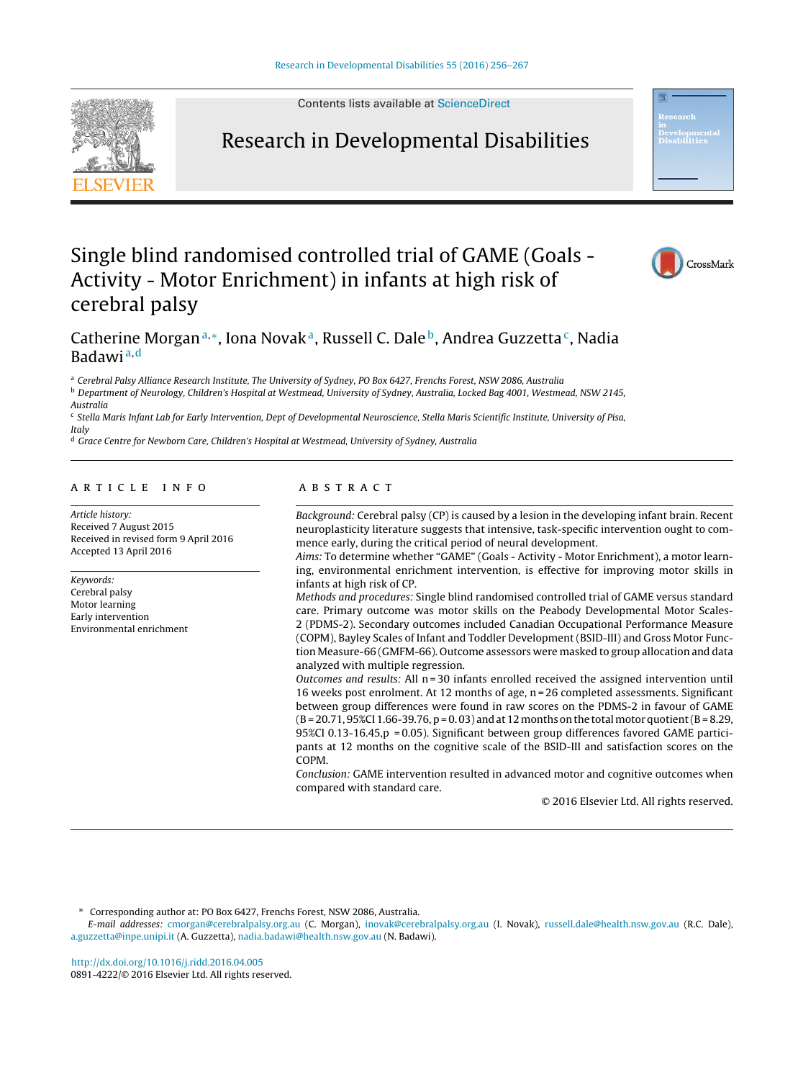Contents lists available at [ScienceDirect](http://www.sciencedirect.com/science/journal/08914222)



# Research in Developmental Disabilities



# Single blind randomised controlled trial of GAME (Goals - Activity - Motor Enrichment) in infants at high risk of cerebral palsy



# Catherine Morgan<sup>a,∗</sup>, Iona Novak<sup>a</sup>, Russell C. Dale<sup>b</sup>, Andrea Guzzetta<sup>c</sup>, Nadia Badawi <sup>a</sup>,<sup>d</sup>

<sup>a</sup> Cerebral Palsy Alliance Research Institute, The University of Sydney, PO Box 6427, Frenchs Forest, NSW 2086, Australia

<sup>b</sup> Department of Neurology, Children's Hospital at Westmead, University of Sydney, Australia, Locked Bag 4001, Westmead, NSW 2145,

Australia

 $c$  Stella Maris Infant Lab for Early Intervention, Dept of Developmental Neuroscience, Stella Maris Scientific Institute, University of Pisa, Italy

<sup>d</sup> Grace Centre for Newborn Care, Children's Hospital at Westmead, University of Sydney, Australia

# a r t i c l e i n f o

Article history: Received 7 August 2015 Received in revised form 9 April 2016 Accepted 13 April 2016

Keywords: Cerebral palsy Motor learning Early intervention Environmental enrichment

# a b s t r a c t

Background: Cerebral palsy (CP) is caused by a lesion in the developing infant brain. Recent neuroplasticity literature suggests that intensive, task-specific intervention ought to commence early, during the critical period of neural development.

Aims: To determine whether "GAME" (Goals - Activity - Motor Enrichment), a motor learning, environmental enrichment intervention, is effective for improving motor skills in infants at high risk of CP.

Methods and procedures: Single blind randomised controlled trial of GAME versus standard care. Primary outcome was motor skills on the Peabody Developmental Motor Scales-2 (PDMS-2). Secondary outcomes included Canadian Occupational Performance Measure (COPM), Bayley Scales of Infant and Toddler Development (BSID-III) and Gross Motor Function Measure-66 (GMFM-66). Outcome assessors were masked to group allocation and data analyzed with multiple regression.

Outcomes and results: All  $n = 30$  infants enrolled received the assigned intervention until 16 weeks post enrolment. At 12 months of age, n = 26 completed assessments. Significant between group differences were found in raw scores on the PDMS-2 in favour of GAME  $(B = 20.71, 95\%$ CI 1.66-39.76,  $p = 0.03$  and at 12 months on the total motor quotient  $(B = 8.29, 1.66)$ 95%CI 0.13-16.45, $p = 0.05$ ). Significant between group differences favored GAME participants at 12 months on the cognitive scale of the BSID-III and satisfaction scores on the COPM.

Conclusion: GAME intervention resulted in advanced motor and cognitive outcomes when compared with standard care.

© 2016 Elsevier Ltd. All rights reserved.

Corresponding author at: PO Box 6427, Frenchs Forest, NSW 2086, Australia.

E-mail addresses: [cmorgan@cerebralpalsy.org.au](mailto:cmorgan@cerebralpalsy.org.au) (C. Morgan), [inovak@cerebralpalsy.org.au](mailto:inovak@cerebralpalsy.org.au) (I. Novak), [russell.dale@health.nsw.gov.au](mailto:russell.dale@health.nsw.gov.au) (R.C. Dale), [a.guzzetta@inpe.unipi.it](mailto:a.guzzetta@inpe.unipi.it) (A. Guzzetta), [nadia.badawi@health.nsw.gov.au](mailto:nadia.badawi@health.nsw.gov.au) (N. Badawi).

[http://dx.doi.org/10.1016/j.ridd.2016.04.005](dx.doi.org/10.1016/j.ridd.2016.04.005) 0891-4222/© 2016 Elsevier Ltd. All rights reserved.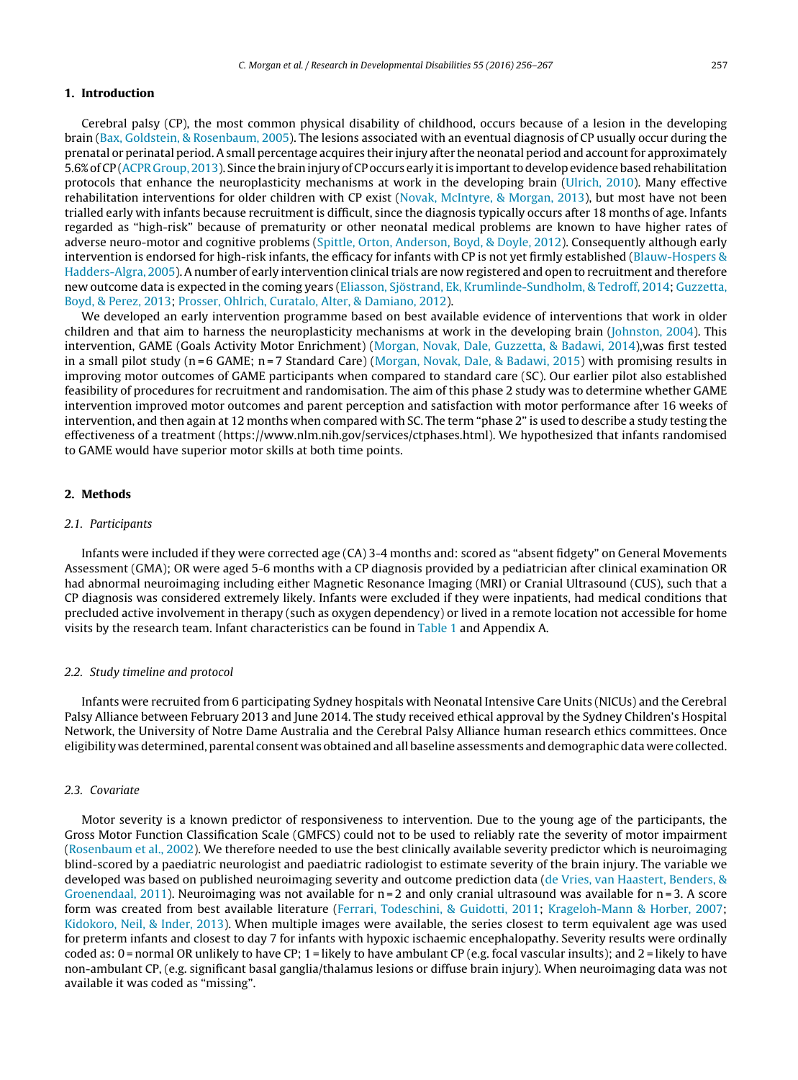# **1. Introduction**

Cerebral palsy (CP), the most common physical disability of childhood, occurs because of a lesion in the developing brain ([Bax,](#page-10-0) [Goldstein,](#page-10-0) [&](#page-10-0) [Rosenbaum,](#page-10-0) [2005\).](#page-10-0) The lesions associated with an eventual diagnosis of CP usually occur during the prenatal or perinatal period. A small percentage acquires their injury after the neonatal period and accountfor approximately 5.6%ofCP ([ACPR](#page-10-0) [Group,](#page-10-0) [2013\).](#page-10-0) Since the braininjury ofCP occurs early itis importanttodevelopevidence basedrehabilitation protocols that enhance the neuroplasticity mechanisms at work in the developing brain ([Ulrich,](#page-10-0) [2010\).](#page-10-0) Many effective rehabilitation interventions for older children with CP exist ([Novak,](#page-10-0) [McIntyre,](#page-10-0) [&](#page-10-0) [Morgan,](#page-10-0) [2013\),](#page-10-0) but most have not been trialled early with infants because recruitment is difficult, since the diagnosis typically occurs after 18 months of age. Infants regarded as "high-risk" because of prematurity or other neonatal medical problems are known to have higher rates of adverse neuro-motor and cognitive problems ([Spittle,](#page-10-0) [Orton,](#page-10-0) [Anderson,](#page-10-0) [Boyd,](#page-10-0) [&](#page-10-0) [Doyle,](#page-10-0) [2012\).](#page-10-0) Consequently although early intervention is endorsed for high-risk infants, the efficacy for infants with CP is not yet firmly established [\(Blauw-Hospers](#page-10-0) [&](#page-10-0) [Hadders-Algra,](#page-10-0) [2005\).](#page-10-0) A number of early intervention clinical trials are now registered and open to recruitment and therefore new outcome data is expected in the coming years ([Eliasson,](#page-10-0) [Sjöstrand,](#page-10-0) [Ek,](#page-10-0) [Krumlinde-Sundholm,](#page-10-0) [&](#page-10-0) [Tedroff,](#page-10-0) [2014;](#page-10-0) [Guzzetta,](#page-10-0) [Boyd,](#page-10-0) [&](#page-10-0) [Perez,](#page-10-0) [2013;](#page-10-0) [Prosser,](#page-10-0) [Ohlrich,](#page-10-0) [Curatalo,](#page-10-0) [Alter,](#page-10-0) [&](#page-10-0) [Damiano,](#page-10-0) [2012\).](#page-10-0)

We developed an early intervention programme based on best available evidence of interventions that work in older children and that aim to harness the neuroplasticity mechanisms at work in the developing brain ([Johnston,](#page-10-0) [2004\).](#page-10-0) This intervention, GAME (Goals Activity Motor Enrichment) ([Morgan,](#page-10-0) [Novak,](#page-10-0) [Dale,](#page-10-0) [Guzzetta,](#page-10-0) [&](#page-10-0) [Badawi,](#page-10-0) [2014\),w](#page-10-0)as first tested in a small pilot study (n=6 GAME; n=7 Standard Care) [\(Morgan,](#page-10-0) [Novak,](#page-10-0) [Dale,](#page-10-0) [&](#page-10-0) [Badawi,](#page-10-0) [2015\)](#page-10-0) with promising results in improving motor outcomes of GAME participants when compared to standard care (SC). Our earlier pilot also established feasibility of procedures for recruitment and randomisation. The aim of this phase 2 study was to determine whether GAME intervention improved motor outcomes and parent perception and satisfaction with motor performance after 16 weeks of intervention, and then again at 12 months when compared with SC. The term "phase 2" is used to describe a study testing the effectiveness of a treatment (https://www.nlm.nih.gov/services/ctphases.html). We hypothesized that infants randomised to GAME would have superior motor skills at both time points.

# **2. Methods**

#### 2.1. Participants

Infants were included if they were corrected age (CA) 3-4 months and: scored as "absent fidgety" on General Movements Assessment (GMA); OR were aged 5-6 months with a CP diagnosis provided by a pediatrician after clinical examination OR had abnormal neuroimaging including either Magnetic Resonance Imaging (MRI) or Cranial Ultrasound (CUS), such that a CP diagnosis was considered extremely likely. Infants were excluded if they were inpatients, had medical conditions that precluded active involvement in therapy (such as oxygen dependency) or lived in a remote location not accessible for home visits by the research team. Infant characteristics can be found in [Table](#page-2-0) 1 and Appendix A.

# 2.2. Study timeline and protocol

Infants were recruited from 6 participating Sydney hospitals with Neonatal Intensive Care Units (NICUs) and the Cerebral Palsy Alliance between February 2013 and June 2014. The study received ethical approval by the Sydney Children's Hospital Network, the University of Notre Dame Australia and the Cerebral Palsy Alliance human research ethics committees. Once eligibility was determined, parental consent was obtained and all baseline assessments and demographic data were collected.

#### 2.3. Covariate

Motor severity is a known predictor of responsiveness to intervention. Due to the young age of the participants, the Gross Motor Function Classification Scale (GMFCS) could not to be used to reliably rate the severity of motor impairment [\(Rosenbaum](#page-10-0) et [al.,](#page-10-0) [2002\).](#page-10-0) We therefore needed to use the best clinically available severity predictor which is neuroimaging blind-scored by a paediatric neurologist and paediatric radiologist to estimate severity of the brain injury. The variable we developed was based on published neuroimaging severity and outcome prediction data [\(de](#page-11-0) [Vries,](#page-11-0) [van](#page-11-0) [Haastert,](#page-11-0) [Benders,](#page-11-0) [&](#page-11-0) [Groenendaal,](#page-11-0) [2011\).](#page-11-0) Neuroimaging was not available for  $n = 2$  and only cranial ultrasound was available for  $n = 3$ . A score form was created from best available literature [\(Ferrari,](#page-10-0) [Todeschini,](#page-10-0) [&](#page-10-0) [Guidotti,](#page-10-0) [2011;](#page-10-0) [Krageloh-Mann](#page-10-0) [&](#page-10-0) [Horber,](#page-10-0) [2007;](#page-10-0) [Kidokoro,](#page-10-0) [Neil,](#page-10-0) [&](#page-10-0) [Inder,](#page-10-0) [2013\).](#page-10-0) When multiple images were available, the series closest to term equivalent age was used for preterm infants and closest to day 7 for infants with hypoxic ischaemic encephalopathy. Severity results were ordinally coded as: 0 = normal OR unlikely to have CP; 1 = likely to have ambulant CP (e.g. focal vascular insults); and 2 = likely to have non-ambulant CP, (e.g. significant basal ganglia/thalamus lesions or diffuse brain injury). When neuroimaging data was not available it was coded as "missing".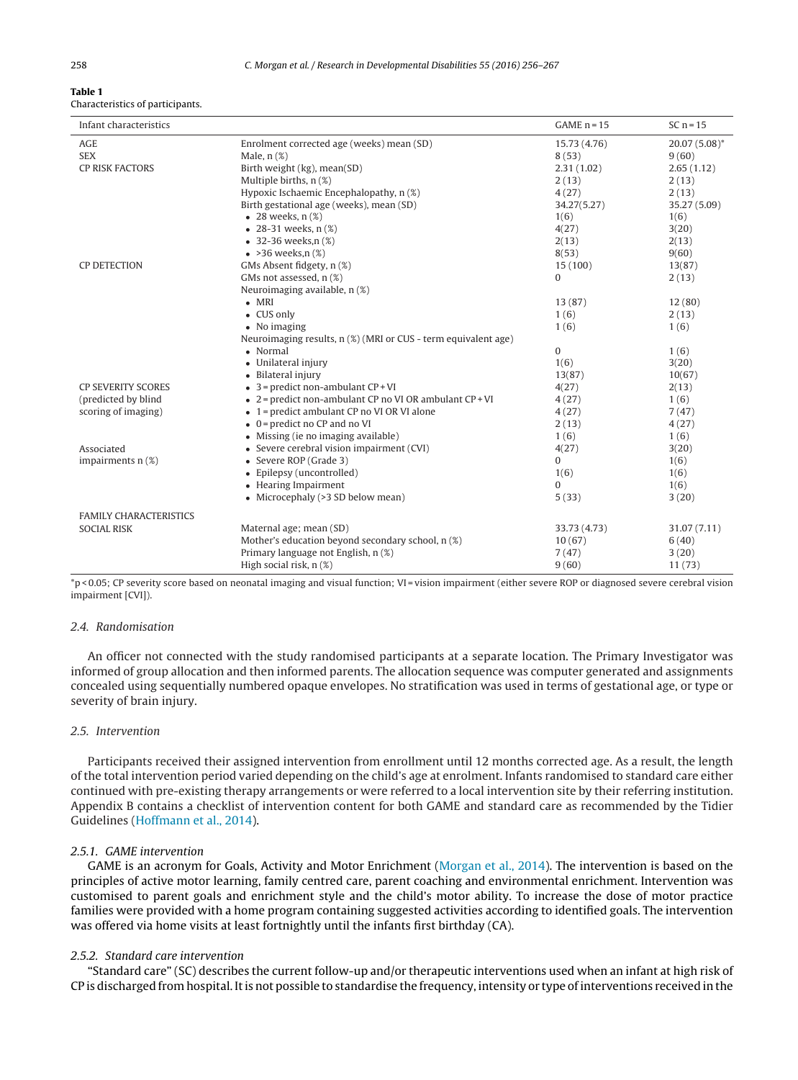#### <span id="page-2-0"></span>**Table 1** Characteristics of participants.

| Infant characteristics        |                                                                 | $GAME n = 15$         | SC $n = 15$              |
|-------------------------------|-----------------------------------------------------------------|-----------------------|--------------------------|
| <b>AGE</b><br><b>SEX</b>      | Enrolment corrected age (weeks) mean (SD)<br>Male, $n$ $(\%)$   | 15.73 (4.76)<br>8(53) | $20.07(5.08)^*$<br>9(60) |
| <b>CP RISK FACTORS</b>        | Birth weight (kg), mean(SD)                                     | 2.31(1.02)            | 2.65(1.12)               |
|                               | Multiple births, n (%)                                          | 2(13)                 | 2(13)                    |
|                               | Hypoxic Ischaemic Encephalopathy, n (%)                         | 4(27)                 | 2(13)                    |
|                               | Birth gestational age (weeks), mean (SD)                        | 34.27(5.27)           | 35.27 (5.09)             |
|                               | $\bullet$ 28 weeks, $n$ (%)                                     | 1(6)                  | 1(6)                     |
|                               | • 28-31 weeks, $n$ $(\%)$                                       | 4(27)                 | 3(20)                    |
|                               | $\bullet$ 32-36 weeks,n $(\%)$                                  | 2(13)                 | 2(13)                    |
|                               | $\bullet$ >36 weeks,n $(\%)$                                    | 8(53)                 | 9(60)                    |
| <b>CP DETECTION</b>           | GMs Absent fidgety, n (%)                                       | 15 (100)              | 13(87)                   |
|                               | GMs not assessed, n (%)                                         | 0                     | 2(13)                    |
|                               | Neuroimaging available, n (%)                                   |                       |                          |
|                               | $\bullet$ MRI                                                   | 13(87)                | 12(80)                   |
|                               | • CUS only                                                      | 1(6)                  | 2(13)                    |
|                               | • No imaging                                                    | 1(6)                  | 1(6)                     |
|                               | Neuroimaging results, n (%) (MRI or CUS - term equivalent age)  |                       |                          |
|                               | • Normal                                                        | $\mathbf{0}$          | 1(6)                     |
|                               | • Unilateral injury                                             | 1(6)                  | 3(20)                    |
|                               | • Bilateral injury                                              | 13(87)                | 10(67)                   |
| <b>CP SEVERITY SCORES</b>     | $\bullet$ 3 = predict non-ambulant CP + VI                      | 4(27)                 | 2(13)                    |
| (predicted by blind           | $\bullet$ 2 = predict non-ambulant CP no VI OR ambulant CP + VI | 4(27)                 | 1(6)                     |
| scoring of imaging)           | • 1 = predict ambulant CP no VI OR VI alone                     | 4(27)                 | 7(47)                    |
|                               | $\bullet$ 0 = predict no CP and no VI                           | 2(13)                 | 4(27)                    |
|                               | • Missing (ie no imaging available)                             | 1(6)                  | 1(6)                     |
| Associated                    | • Severe cerebral vision impairment (CVI)                       | 4(27)                 | 3(20)                    |
| impairments $n$ (%)           | • Severe ROP (Grade 3)                                          | $\Omega$              | 1(6)                     |
|                               | • Epilepsy (uncontrolled)                                       | 1(6)                  | 1(6)                     |
|                               | • Hearing Impairment                                            | $\Omega$              | 1(6)                     |
|                               | • Microcephaly (>3 SD below mean)                               | 5(33)                 | 3(20)                    |
| <b>FAMILY CHARACTERISTICS</b> |                                                                 |                       |                          |
| <b>SOCIAL RISK</b>            | Maternal age; mean (SD)                                         | 33.73 (4.73)          | 31.07 (7.11)             |
|                               | Mother's education beyond secondary school, n (%)               | 10(67)                | 6(40)                    |
|                               | Primary language not English, n (%)                             | 7(47)                 | 3(20)                    |
|                               | High social risk, n (%)                                         | 9(60)                 | 11(73)                   |
|                               |                                                                 |                       |                          |

\*p < 0.05; CP severity score based on neonatal imaging and visual function; VI = vision impairment (either severe ROP or diagnosed severe cerebral vision impairment [CVI]).

# 2.4. Randomisation

An officer not connected with the study randomised participants at a separate location. The Primary Investigator was informed of group allocation and then informed parents. The allocation sequence was computer generated and assignments concealed using sequentially numbered opaque envelopes. No stratification was used in terms of gestational age, or type or severity of brain injury.

# 2.5. Intervention

Participants received their assigned intervention from enrollment until 12 months corrected age. As a result, the length of the total intervention period varied depending on the child's age at enrolment. Infants randomised to standard care either continued with pre-existing therapy arrangements or were referred to a local intervention site by their referring institution. Appendix B contains a checklist of intervention content for both GAME and standard care as recommended by the Tidier Guidelines [\(Hoffmann](#page-10-0) et [al.,](#page-10-0) [2014\).](#page-10-0)

# 2.5.1. GAME intervention

GAME is an acronym for Goals, Activity and Motor Enrichment ([Morgan](#page-10-0) et [al.,](#page-10-0) [2014\).](#page-10-0) The intervention is based on the principles of active motor learning, family centred care, parent coaching and environmental enrichment. Intervention was customised to parent goals and enrichment style and the child's motor ability. To increase the dose of motor practice families were provided with a home program containing suggested activities according to identified goals. The intervention was offered via home visits at least fortnightly until the infants first birthday (CA).

# 2.5.2. Standard care intervention

"Standard care" (SC) describes the current follow-up and/or therapeutic interventions used when an infant at high risk of CP is discharged from hospital. Itis not possible to standardise the frequency, intensity or type ofinterventions received in the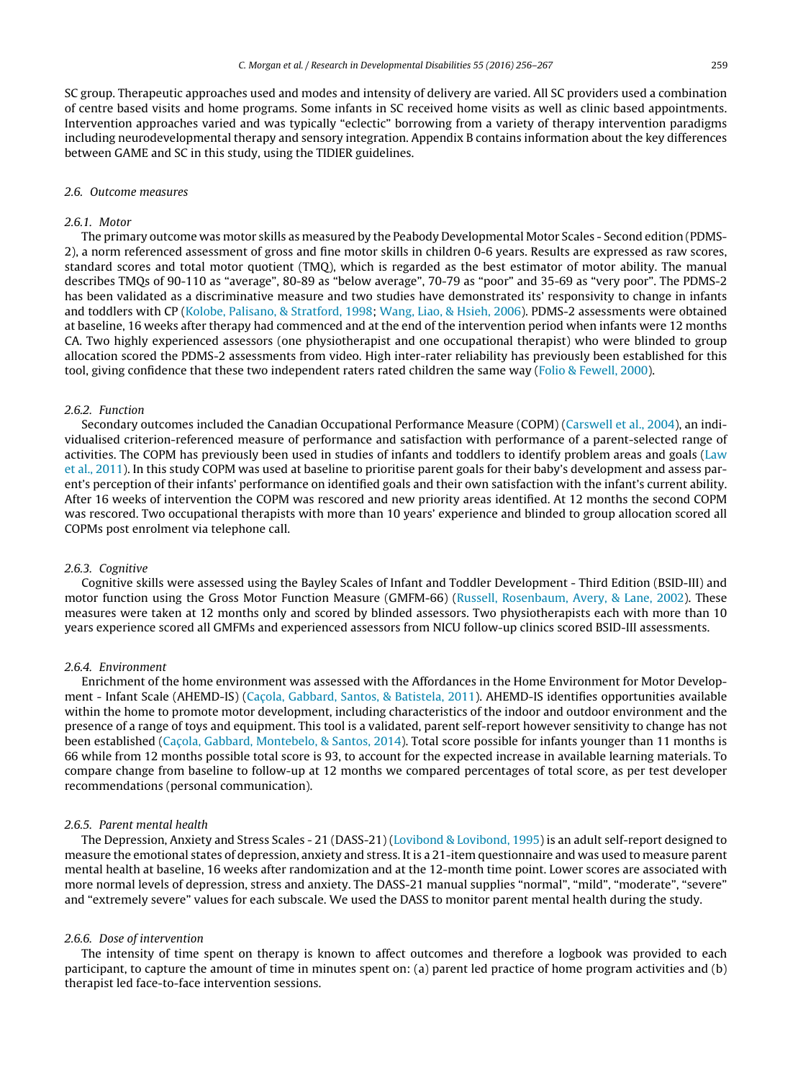SC group. Therapeutic approaches used and modes and intensity of delivery are varied. All SC providers used a combination of centre based visits and home programs. Some infants in SC received home visits as well as clinic based appointments. Intervention approaches varied and was typically "eclectic" borrowing from a variety of therapy intervention paradigms including neurodevelopmental therapy and sensory integration. Appendix B contains information about the key differences between GAME and SC in this study, using the TIDIER guidelines.

#### 2.6. Outcome measures

#### 2.6.1. Motor

The primary outcome was motor skills as measured by the Peabody Developmental Motor Scales - Second edition (PDMS-2), a norm referenced assessment of gross and fine motor skills in children 0-6 years. Results are expressed as raw scores, standard scores and total motor quotient (TMQ), which is regarded as the best estimator of motor ability. The manual describes TMQs of 90-110 as "average", 80-89 as "below average", 70-79 as "poor" and 35-69 as "very poor". The PDMS-2 has been validated as a discriminative measure and two studies have demonstrated its' responsivity to change in infants and toddlers with CP [\(Kolobe,](#page-10-0) [Palisano,](#page-10-0) [&](#page-10-0) [Stratford,](#page-10-0) [1998;](#page-10-0) [Wang,](#page-10-0) [Liao,](#page-10-0) [&](#page-10-0) [Hsieh,](#page-10-0) [2006\).](#page-10-0) PDMS-2 assessments were obtained at baseline, 16 weeks after therapy had commenced and at the end of the intervention period when infants were 12 months CA. Two highly experienced assessors (one physiotherapist and one occupational therapist) who were blinded to group allocation scored the PDMS-2 assessments from video. High inter-rater reliability has previously been established for this tool, giving confidence that these two independent raters rated children the same way ([Folio](#page-10-0) [&](#page-10-0) [Fewell,](#page-10-0) [2000\).](#page-10-0)

# 2.6.2. Function

Secondary outcomes included the Canadian Occupational Performance Measure (COPM) ([Carswell](#page-10-0) et [al.,](#page-10-0) [2004\),](#page-10-0) an individualised criterion-referenced measure of performance and satisfaction with performance of a parent-selected range of activities. The COPM has previously been used in studies of infants and toddlers to identify problem areas and goals ([Law](#page-10-0) et [al.,](#page-10-0) [2011\).](#page-10-0) In this study COPM was used at baseline to prioritise parent goals for their baby's development and assess parent's perception of their infants' performance on identified goals and their own satisfaction with the infant's current ability. After 16 weeks of intervention the COPM was rescored and new priority areas identified. At 12 months the second COPM was rescored. Two occupational therapists with more than 10 years' experience and blinded to group allocation scored all COPMs post enrolment via telephone call.

# 2.6.3. Cognitive

Cognitive skills were assessed using the Bayley Scales of Infant and Toddler Development - Third Edition (BSID-III) and motor function using the Gross Motor Function Measure (GMFM-66) [\(Russell,](#page-10-0) [Rosenbaum,](#page-10-0) [Avery,](#page-10-0) [&](#page-10-0) [Lane,](#page-10-0) [2002\).](#page-10-0) These measures were taken at 12 months only and scored by blinded assessors. Two physiotherapists each with more than 10 years experience scored all GMFMs and experienced assessors from NICU follow-up clinics scored BSID-III assessments.

#### 2.6.4. Environment

Enrichment of the home environment was assessed with the Affordances in the Home Environment for Motor Develop-ment - Infant Scale (AHEMD-IS) (Caçola, [Gabbard,](#page-10-0) [Santos,](#page-10-0) [&](#page-10-0) [Batistela,](#page-10-0) [2011\).](#page-10-0) AHEMD-IS identifies opportunities available within the home to promote motor development, including characteristics of the indoor and outdoor environment and the presence of a range of toys and equipment. This tool is a validated, parent self-report however sensitivity to change has not been established (Caçola, [Gabbard,](#page-10-0) [Montebelo,](#page-10-0) [&](#page-10-0) [Santos,](#page-10-0) [2014\).](#page-10-0) Total score possible for infants younger than 11 months is 66 while from 12 months possible total score is 93, to account for the expected increase in available learning materials. To compare change from baseline to follow-up at 12 months we compared percentages of total score, as per test developer recommendations (personal communication).

#### 2.6.5. Parent mental health

The Depression, Anxiety and Stress Scales - 21 (DASS-21) ([Lovibond](#page-10-0) [&](#page-10-0) [Lovibond,](#page-10-0) [1995\)](#page-10-0) is an adult self-report designed to measure the emotional states of depression, anxiety and stress. It is a 21-item questionnaire and was used to measure parent mental health at baseline, 16 weeks after randomization and at the 12-month time point. Lower scores are associated with more normal levels of depression, stress and anxiety. The DASS-21 manual supplies "normal", "mild", "moderate", "severe" and "extremely severe" values for each subscale. We used the DASS to monitor parent mental health during the study.

#### 2.6.6. Dose of intervention

The intensity of time spent on therapy is known to affect outcomes and therefore a logbook was provided to each participant, to capture the amount of time in minutes spent on: (a) parent led practice of home program activities and (b) therapist led face-to-face intervention sessions.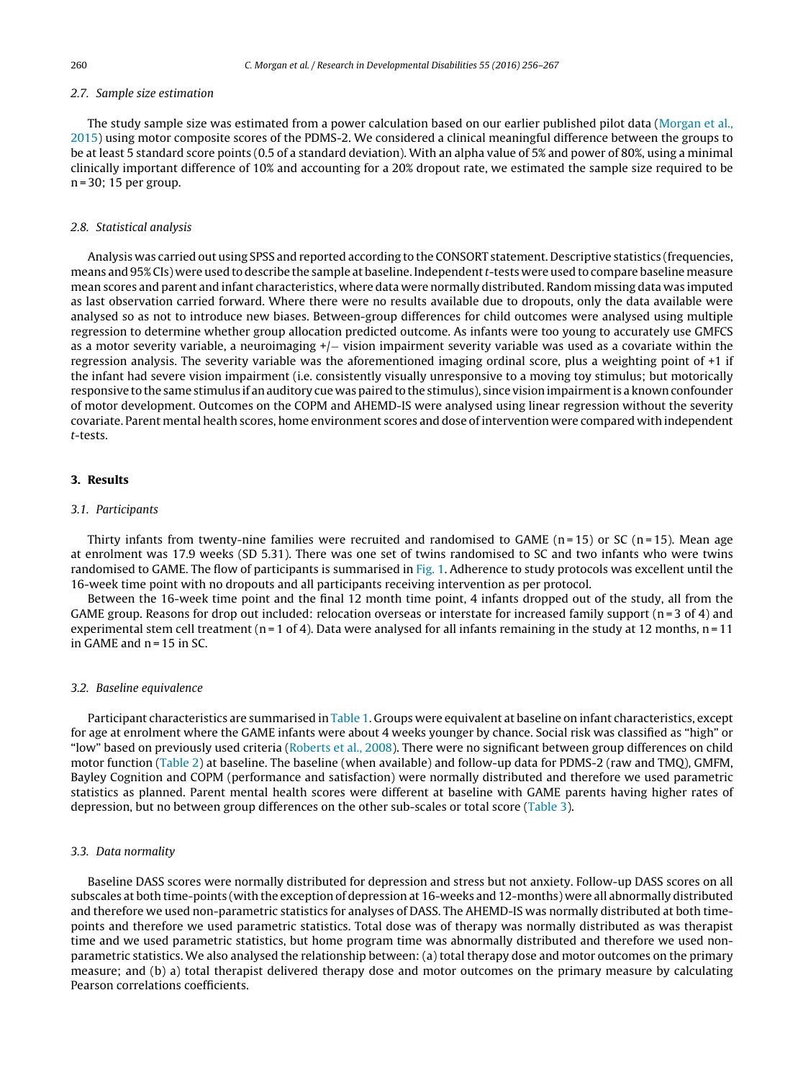# 2.7. Sample size estimation

The study sample size was estimated from a power calculation based on our earlier published pilot data [\(Morgan](#page-10-0) et [al.,](#page-10-0) [2015\)](#page-10-0) using motor composite scores of the PDMS-2. We considered a clinical meaningful difference between the groups to be at least 5 standard score points (0.5 of a standard deviation). With an alpha value of 5% and power of 80%, using a minimal clinically important difference of 10% and accounting for a 20% dropout rate, we estimated the sample size required to be n = 30; 15 per group.

#### 2.8. Statistical analysis

Analysis was carried out using SPSS and reported according to the CONSORT statement. Descriptive statistics (frequencies, means and 95% CIs) were used to describe the sample at baseline. Independentt-tests were used to compare baseline measure mean scores and parent and infant characteristics, where data were normally distributed. Random missing data was imputed as last observation carried forward. Where there were no results available due to dropouts, only the data available were analysed so as not to introduce new biases. Between-group differences for child outcomes were analysed using multiple regression to determine whether group allocation predicted outcome. As infants were too young to accurately use GMFCS as a motor severity variable, a neuroimaging +/− vision impairment severity variable was used as a covariate within the regression analysis. The severity variable was the aforementioned imaging ordinal score, plus a weighting point of +1 if the infant had severe vision impairment (i.e. consistently visually unresponsive to a moving toy stimulus; but motorically responsive to the same stimulus if an auditory cue was paired to the stimulus), since vision impairment is a known confounder of motor development. Outcomes on the COPM and AHEMD-IS were analysed using linear regression without the severity covariate. Parent mental health scores, home environment scores and dose of intervention were compared with independent t-tests.

### **3. Results**

#### 3.1. Participants

Thirty infants from twenty-nine families were recruited and randomised to GAME ( $n=15$ ) or SC ( $n=15$ ). Mean age at enrolment was 17.9 weeks (SD 5.31). There was one set of twins randomised to SC and two infants who were twins randomised to GAME. The flow of participants is summarised in [Fig.](#page-5-0) 1. Adherence to study protocols was excellent until the 16-week time point with no dropouts and all participants receiving intervention as per protocol.

Between the 16-week time point and the final 12 month time point, 4 infants dropped out of the study, all from the GAME group. Reasons for drop out included: relocation overseas or interstate for increased family support ( $n=3$  of 4) and experimental stem cell treatment ( $n = 1$  of 4). Data were analysed for all infants remaining in the study at 12 months,  $n = 11$ in GAME and  $n = 15$  in SC.

#### 3.2. Baseline equivalence

Participant characteristics are summarised in [Table](#page-2-0) 1. Groups were equivalent at baseline on infant characteristics, except for age at enrolment where the GAME infants were about 4 weeks younger by chance. Social risk was classified as "high" or "low" based on previously used criteria [\(Roberts](#page-10-0) et [al.,](#page-10-0) [2008\).](#page-10-0) There were no significant between group differences on child motor function [\(Table](#page-6-0) 2) at baseline. The baseline (when available) and follow-up data for PDMS-2 (raw and TMQ), GMFM, Bayley Cognition and COPM (performance and satisfaction) were normally distributed and therefore we used parametric statistics as planned. Parent mental health scores were different at baseline with GAME parents having higher rates of depression, but no between group differences on the other sub-scales or total score [\(Table](#page-7-0) 3).

# 3.3. Data normality

Baseline DASS scores were normally distributed for depression and stress but not anxiety. Follow-up DASS scores on all subscales at both time-points (with the exception of depression at 16-weeks and 12-months) were all abnormally distributed and therefore we used non-parametric statistics for analyses of DASS. The AHEMD-IS was normally distributed at both timepoints and therefore we used parametric statistics. Total dose was of therapy was normally distributed as was therapist time and we used parametric statistics, but home program time was abnormally distributed and therefore we used nonparametric statistics. We also analysed the relationship between: (a) total therapy dose and motor outcomes on the primary measure; and (b) a) total therapist delivered therapy dose and motor outcomes on the primary measure by calculating Pearson correlations coefficients.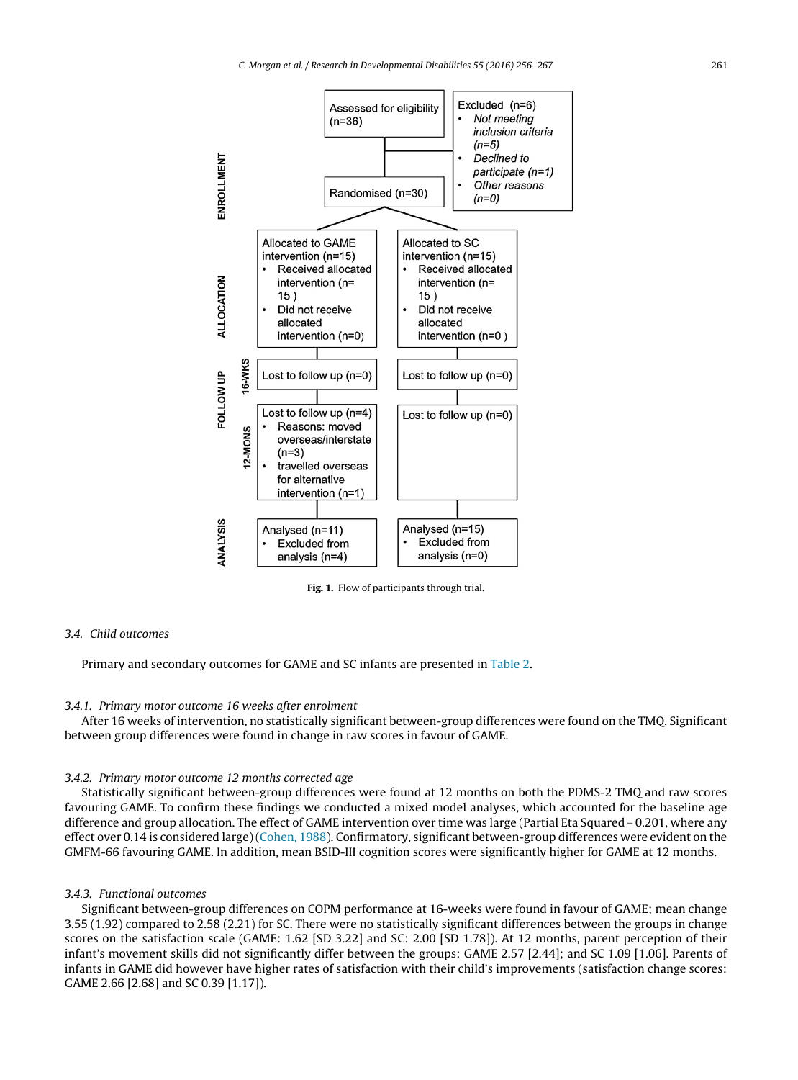<span id="page-5-0"></span>

**Fig. 1.** Flow of participants through trial.

# 3.4. Child outcomes

Primary and secondary outcomes for GAME and SC infants are presented in [Table](#page-6-0) 2.

#### 3.4.1. Primary motor outcome 16 weeks after enrolment

After 16 weeks of intervention, no statistically significant between-group differences were found on the TMQ. Significant between group differences were found in change in raw scores in favour of GAME.

#### 3.4.2. Primary motor outcome 12 months corrected age

Statistically significant between-group differences were found at 12 months on both the PDMS-2 TMQ and raw scores favouring GAME. To confirm these findings we conducted a mixed model analyses, which accounted for the baseline age difference and group allocation. The effect of GAME intervention over time was large (Partial Eta Squared = 0.201, where any effect over 0.14 is considered large) [\(Cohen,](#page-10-0) [1988\).](#page-10-0) Confirmatory, significant between-group differences were evident on the GMFM-66 favouring GAME. In addition, mean BSID-III cognition scores were significantly higher for GAME at 12 months.

# 3.4.3. Functional outcomes

Significant between-group differences on COPM performance at 16-weeks were found in favour of GAME; mean change 3.55 (1.92) compared to 2.58 (2.21) for SC. There were no statistically significant differences between the groups in change scores on the satisfaction scale (GAME: 1.62 [SD 3.22] and SC: 2.00 [SD 1.78]). At 12 months, parent perception of their infant's movement skills did not significantly differ between the groups: GAME 2.57 [2.44]; and SC 1.09 [1.06]. Parents of infants in GAME did however have higher rates of satisfaction with their child's improvements (satisfaction change scores: GAME 2.66 [2.68] and SC 0.39 [1.17]).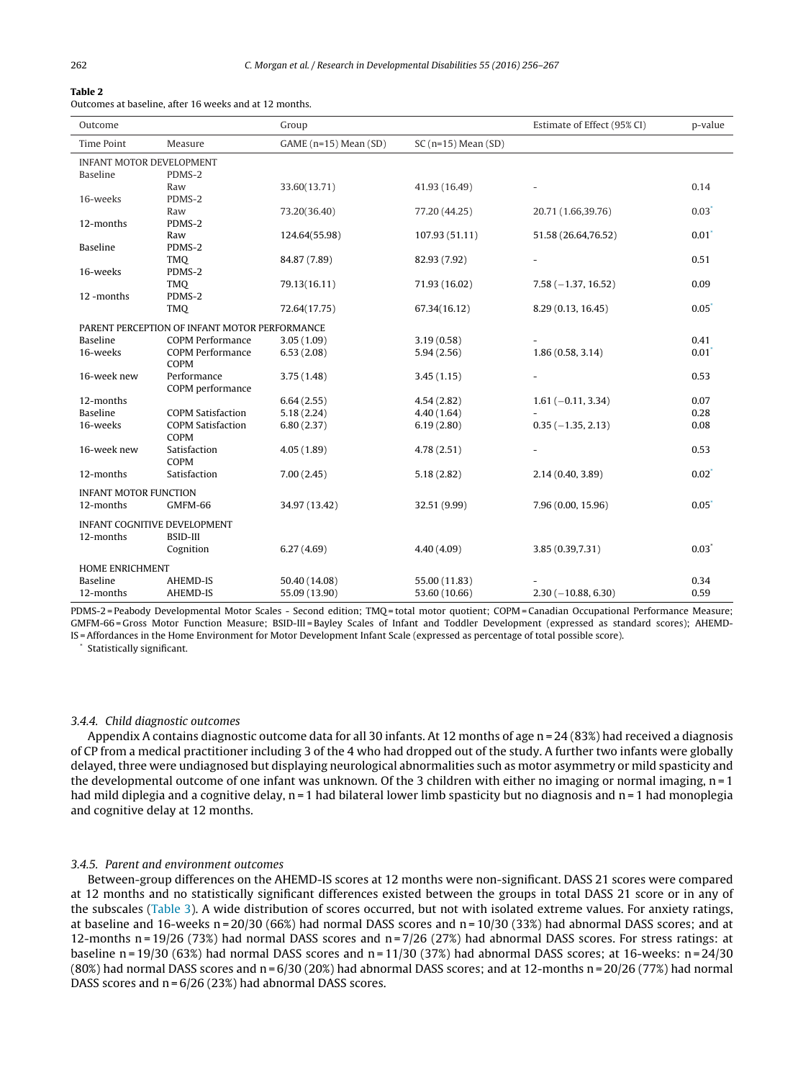# <span id="page-6-0"></span>**Table 2**

Outcomes at baseline, after 16 weeks and at 12 months.

| Outcome                             |                                               | Group                 |                      | Estimate of Effect (95% CI) | p-value             |  |
|-------------------------------------|-----------------------------------------------|-----------------------|----------------------|-----------------------------|---------------------|--|
| <b>Time Point</b>                   | Measure                                       | GAME (n=15) Mean (SD) | $SC(n=15) Mean (SD)$ |                             |                     |  |
| <b>INFANT MOTOR DEVELOPMENT</b>     |                                               |                       |                      |                             |                     |  |
| <b>Baseline</b>                     | PDMS-2                                        |                       |                      |                             |                     |  |
|                                     | Raw                                           | 33.60(13.71)          | 41.93 (16.49)        |                             | 0.14                |  |
| 16-weeks                            | PDMS-2                                        |                       |                      |                             |                     |  |
|                                     | Raw                                           | 73.20(36.40)          | 77.20 (44.25)        | 20.71 (1.66,39.76)          | $0.03*$             |  |
| 12-months                           | PDMS-2                                        |                       |                      |                             |                     |  |
|                                     | Raw                                           | 124.64(55.98)         | 107.93 (51.11)       | 51.58 (26.64,76.52)         | $0.01$ <sup>*</sup> |  |
| Baseline                            | PDMS-2                                        |                       |                      |                             |                     |  |
|                                     | TMO                                           | 84.87 (7.89)          | 82.93 (7.92)         |                             | 0.51                |  |
| 16-weeks                            | PDMS-2                                        |                       |                      |                             |                     |  |
|                                     | <b>TMQ</b>                                    | 79.13(16.11)          | 71.93 (16.02)        | $7.58(-1.37, 16.52)$        | 0.09                |  |
| 12-months                           | PDMS-2                                        |                       |                      |                             |                     |  |
|                                     | <b>TMQ</b>                                    | 72.64(17.75)          | 67.34(16.12)         | 8.29 (0.13, 16.45)          | $0.05*$             |  |
|                                     | PARENT PERCEPTION OF INFANT MOTOR PERFORMANCE |                       |                      |                             |                     |  |
| Baseline                            | <b>COPM Performance</b>                       | 3.05(1.09)            | 3.19(0.58)           |                             | 0.41                |  |
| 16-weeks                            | <b>COPM Performance</b>                       | 6.53(2.08)            | 5.94(2.56)           | 1.86(0.58, 3.14)            | $0.01^*$            |  |
|                                     | COPM                                          |                       |                      |                             |                     |  |
| 16-week new                         | Performance                                   | 3.75(1.48)            | 3.45(1.15)           |                             | 0.53                |  |
|                                     | COPM performance                              |                       |                      |                             |                     |  |
| 12-months                           |                                               | 6.64(2.55)            | 4.54(2.82)           | $1.61 (-0.11, 3.34)$        | 0.07                |  |
| Baseline                            | <b>COPM Satisfaction</b>                      | 5.18(2.24)            | 4.40(1.64)           |                             | 0.28                |  |
| 16-weeks                            | <b>COPM Satisfaction</b>                      | 6.80(2.37)            | 6.19(2.80)           | $0.35(-1.35, 2.13)$         | 0.08                |  |
|                                     | COPM                                          |                       |                      |                             |                     |  |
| 16-week new                         | Satisfaction                                  | 4.05(1.89)            | 4.78(2.51)           |                             | 0.53                |  |
|                                     | COPM                                          |                       |                      |                             |                     |  |
| 12-months                           | Satisfaction                                  | 7.00(2.45)            | 5.18(2.82)           | 2.14 (0.40, 3.89)           | $0.02^*$            |  |
| <b>INFANT MOTOR FUNCTION</b>        |                                               |                       |                      |                             |                     |  |
| 12-months                           | GMFM-66                                       | 34.97 (13.42)         | 32.51 (9.99)         | 7.96 (0.00, 15.96)          | $0.05*$             |  |
|                                     |                                               |                       |                      |                             |                     |  |
| <b>INFANT COGNITIVE DEVELOPMENT</b> |                                               |                       |                      |                             |                     |  |
| 12-months                           | <b>BSID-III</b>                               |                       |                      |                             |                     |  |
|                                     | Cognition                                     | 6.27(4.69)            | 4.40(4.09)           | 3.85 (0.39,7.31)            | $0.03*$             |  |
| HOME ENRICHMENT                     |                                               |                       |                      |                             |                     |  |
| <b>Baseline</b>                     | AHEMD-IS                                      | 50.40 (14.08)         | 55.00 (11.83)        |                             | 0.34                |  |
| 12-months                           | AHEMD-IS                                      | 55.09 (13.90)         | 53.60 (10.66)        | $2.30(-10.88, 6.30)$        | 0.59                |  |

PDMS-2 = Peabody Developmental Motor Scales - Second edition; TMQ = total motor quotient; COPM = Canadian Occupational Performance Measure; GMFM-66 = Gross Motor Function Measure; BSID-III = Bayley Scales of Infant and Toddler Development (expressed as standard scores); AHEMD-IS =Affordances in the Home Environment for Motor Development Infant Scale (expressed as percentage of total possible score).

Statistically significant.

#### 3.4.4. Child diagnostic outcomes

Appendix A contains diagnostic outcome data for all 30 infants. At 12 months of age  $n = 24 (83%)$  had received a diagnosis of CP from a medical practitioner including 3 of the 4 who had dropped out of the study. A further two infants were globally delayed, three were undiagnosed but displaying neurological abnormalities such as motor asymmetry or mild spasticity and the developmental outcome of one infant was unknown. Of the 3 children with either no imaging or normal imaging, n = 1 had mild diplegia and a cognitive delay, n = 1 had bilateral lower limb spasticity but no diagnosis and n = 1 had monoplegia and cognitive delay at 12 months.

#### 3.4.5. Parent and environment outcomes

Between-group differences on the AHEMD-IS scores at 12 months were non-significant. DASS 21 scores were compared at 12 months and no statistically significant differences existed between the groups in total DASS 21 score or in any of the subscales [\(Table](#page-7-0) 3). A wide distribution of scores occurred, but not with isolated extreme values. For anxiety ratings, at baseline and 16-weeks  $n = 20/30$  (66%) had normal DASS scores and  $n = 10/30$  (33%) had abnormal DASS scores; and at 12-months  $n = 19/26$  (73%) had normal DASS scores and  $n = 7/26$  (27%) had abnormal DASS scores. For stress ratings: at baseline n =  $19/30$  (63%) had normal DASS scores and n =  $11/30$  (37%) had abnormal DASS scores; at 16-weeks: n =  $24/30$ (80%) had normal DASS scores and  $n = 6/30$  (20%) had abnormal DASS scores; and at 12-months  $n = 20/26$  (77%) had normal DASS scores and n = 6/26 (23%) had abnormal DASS scores.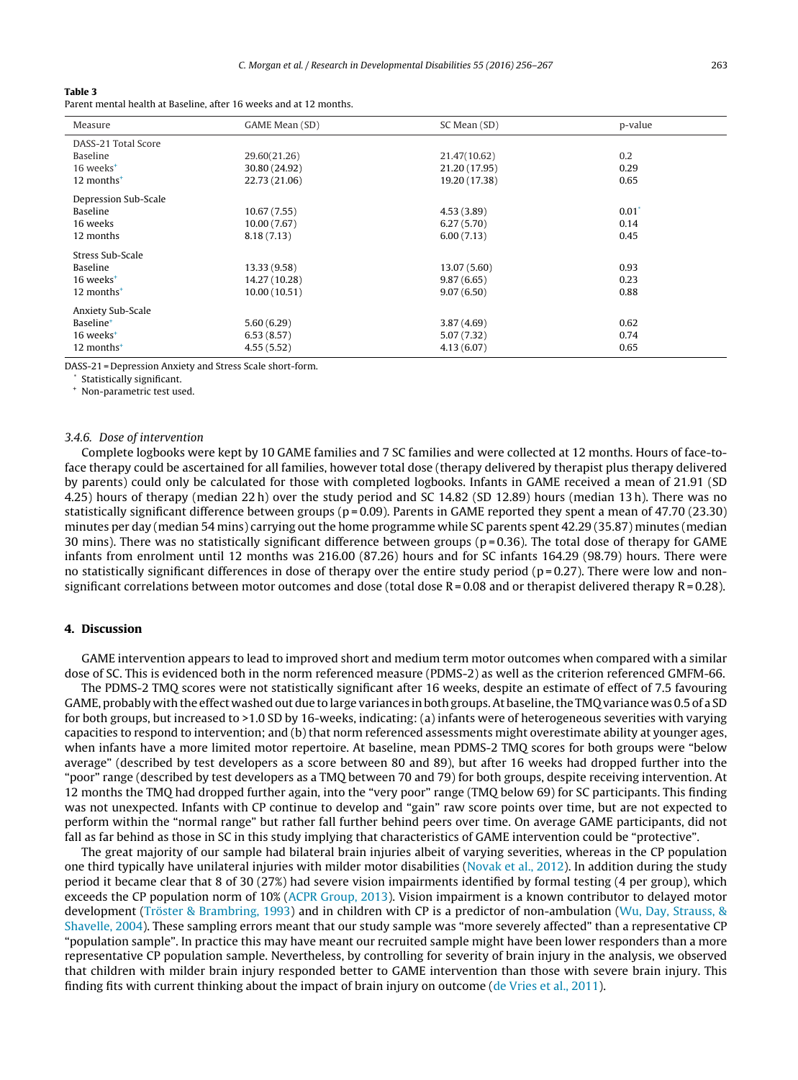#### <span id="page-7-0"></span>**Table 3**

Parent mental health at Baseline, after 16 weeks and at 12 months.

| Measure                  | GAME Mean (SD) | SC Mean (SD)  | p-value             |  |  |
|--------------------------|----------------|---------------|---------------------|--|--|
| DASS-21 Total Score      |                |               |                     |  |  |
| Baseline                 | 29.60(21.26)   | 21.47(10.62)  | 0.2                 |  |  |
| 16 weeks <sup>+</sup>    | 30.80 (24.92)  | 21.20 (17.95) | 0.29                |  |  |
| $12$ months <sup>+</sup> | 22.73 (21.06)  | 19.20 (17.38) | 0.65                |  |  |
| Depression Sub-Scale     |                |               |                     |  |  |
| Baseline                 | 10.67(7.55)    | 4.53(3.89)    | $0.01$ <sup>*</sup> |  |  |
| 16 weeks                 | 10.00(7.67)    | 6.27(5.70)    | 0.14                |  |  |
| 12 months                | 8.18(7.13)     | 6.00(7.13)    | 0.45                |  |  |
| Stress Sub-Scale         |                |               |                     |  |  |
| Baseline                 | 13.33 (9.58)   | 13.07 (5.60)  | 0.93                |  |  |
| 16 weeks <sup>+</sup>    | 14.27 (10.28)  | 9.87(6.65)    | 0.23                |  |  |
| 12 months <sup>+</sup>   | 10.00 (10.51)  | 9.07(6.50)    | 0.88                |  |  |
| Anxiety Sub-Scale        |                |               |                     |  |  |
| Baseline <sup>+</sup>    | 5.60(6.29)     | 3.87(4.69)    | 0.62                |  |  |
| 16 weeks <sup>+</sup>    | 6.53(8.57)     | 5.07 (7.32)   | 0.74                |  |  |
| $12$ months <sup>+</sup> | 4.55(5.52)     | 4.13(6.07)    | 0.65                |  |  |

DASS-21 = Depression Anxiety and Stress Scale short-form.

Statistically significant.

<sup>+</sup> Non-parametric test used.

#### 3.4.6. Dose of intervention

Complete logbooks were kept by 10 GAME families and 7 SC families and were collected at 12 months. Hours of face-toface therapy could be ascertained for all families, however total dose (therapy delivered by therapist plus therapy delivered by parents) could only be calculated for those with completed logbooks. Infants in GAME received a mean of 21.91 (SD 4.25) hours of therapy (median 22 h) over the study period and SC 14.82 (SD 12.89) hours (median 13 h). There was no statistically significant difference between groups ( $p = 0.09$ ). Parents in GAME reported they spent a mean of 47.70 (23.30) minutes per day (median 54 mins) carrying out the home programme while SC parents spent 42.29 (35.87) minutes (median 30 mins). There was no statistically significant difference between groups ( $p = 0.36$ ). The total dose of therapy for GAME infants from enrolment until 12 months was 216.00 (87.26) hours and for SC infants 164.29 (98.79) hours. There were no statistically significant differences in dose of therapy over the entire study period ( $p = 0.27$ ). There were low and nonsignificant correlations between motor outcomes and dose (total dose  $R = 0.08$  and or therapist delivered therapy  $R = 0.28$ ).

# **4. Discussion**

GAME intervention appears to lead to improved short and medium term motor outcomes when compared with a similar dose of SC. This is evidenced both in the norm referenced measure (PDMS-2) as well as the criterion referenced GMFM-66.

The PDMS-2 TMQ scores were not statistically significant after 16 weeks, despite an estimate of effect of 7.5 favouring GAME, probably with the effect washed out due to large variances in both groups. At baseline, the TMQ variance was 0.5 of a SD for both groups, but increased to >1.0 SD by 16-weeks, indicating: (a) infants were of heterogeneous severities with varying capacities to respond to intervention; and (b) that norm referenced assessments might overestimate ability at younger ages, when infants have a more limited motor repertoire. At baseline, mean PDMS-2 TMQ scores for both groups were "below average" (described by test developers as a score between 80 and 89), but after 16 weeks had dropped further into the "poor" range (described by test developers as a TMQ between 70 and 79) for both groups, despite receiving intervention. At 12 months the TMQ had dropped further again, into the "very poor" range (TMQ below 69) for SC participants. This finding was not unexpected. Infants with CP continue to develop and "gain" raw score points over time, but are not expected to perform within the "normal range" but rather fall further behind peers over time. On average GAME participants, did not fall as far behind as those in SC in this study implying that characteristics of GAME intervention could be "protective".

The great majority of our sample had bilateral brain injuries albeit of varying severities, whereas in the CP population one third typically have unilateral injuries with milder motor disabilities [\(Novak](#page-10-0) et [al.,](#page-10-0) [2012\).](#page-10-0) In addition during the study period it became clear that 8 of 30 (27%) had severe vision impairments identified by formal testing (4 per group), which exceeds the CP population norm of 10% [\(ACPR](#page-10-0) [Group,](#page-10-0) [2013\).](#page-10-0) Vision impairment is a known contributor to delayed motor development [\(Tröster](#page-10-0) [&](#page-10-0) [Brambring,](#page-10-0) [1993\)](#page-10-0) and in children with CP is a predictor of non-ambulation ([Wu,](#page-11-0) [Day,](#page-11-0) [Strauss,](#page-11-0) [&](#page-11-0) [Shavelle,](#page-11-0) [2004\).](#page-11-0) These sampling errors meant that our study sample was "more severely affected" than a representative CP "population sample". In practice this may have meant our recruited sample might have been lower responders than a more representative CP population sample. Nevertheless, by controlling for severity of brain injury in the analysis, we observed that children with milder brain injury responded better to GAME intervention than those with severe brain injury. This finding fits with current thinking about the impact of brain injury on outcome ([de](#page-11-0) [Vries](#page-11-0) et [al.,](#page-11-0) [2011\).](#page-11-0)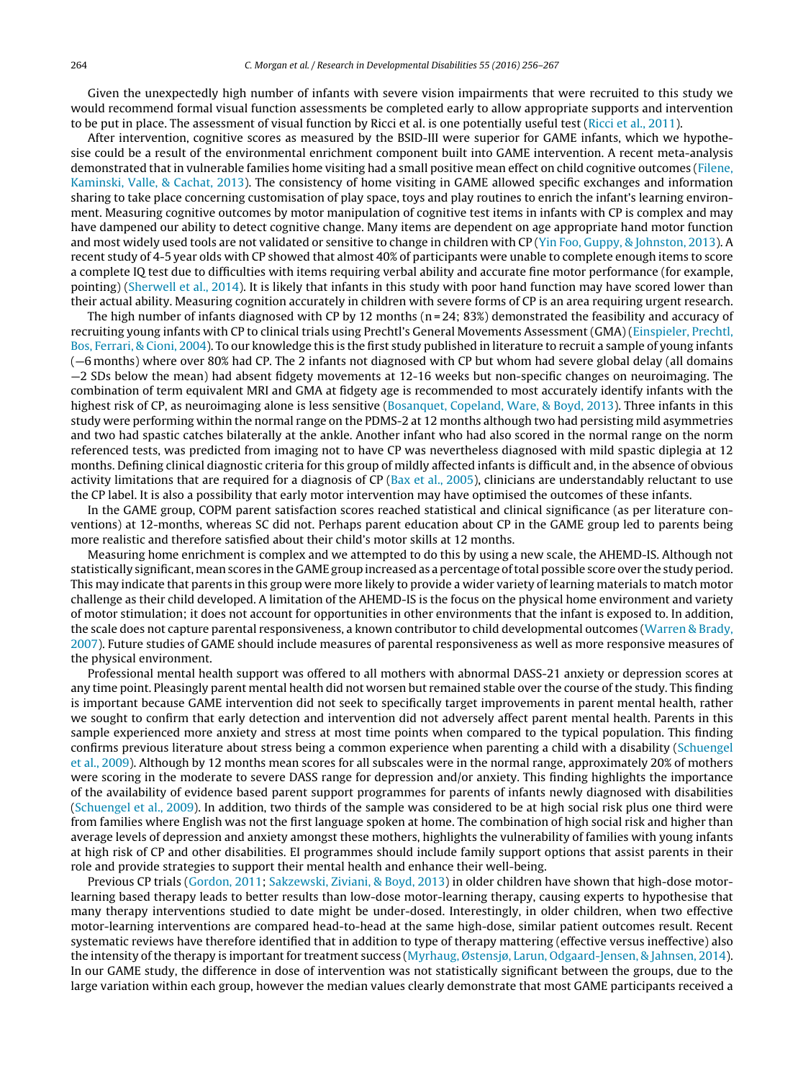Given the unexpectedly high number of infants with severe vision impairments that were recruited to this study we would recommend formal visual function assessments be completed early to allow appropriate supports and intervention to be put in place. The assessment of visual function by Ricci et al. is one potentially useful test ([Ricci](#page-10-0) et [al.,](#page-10-0) [2011\).](#page-10-0)

After intervention, cognitive scores as measured by the BSID-III were superior for GAME infants, which we hypothesise could be a result of the environmental enrichment component built into GAME intervention. A recent meta-analysis demonstrated that in vulnerable families home visiting had a small positive mean effect on child cognitive outcomes ([Filene,](#page-10-0) [Kaminski,](#page-10-0) [Valle,](#page-10-0) [&](#page-10-0) [Cachat,](#page-10-0) [2013\).](#page-10-0) The consistency of home visiting in GAME allowed specific exchanges and information sharing to take place concerning customisation of play space, toys and play routines to enrich the infant's learning environment. Measuring cognitive outcomes by motor manipulation of cognitive test items in infants with CP is complex and may have dampened our ability to detect cognitive change. Many items are dependent on age appropriate hand motor function and most widely used tools are not validated or sensitive to change in children with CP ([Yin](#page-11-0) [Foo,](#page-11-0) [Guppy,](#page-11-0) [&](#page-11-0) [Johnston,](#page-11-0) [2013\).](#page-11-0) A recent study of 4-5 year olds with CP showed that almost 40% of participants were unable to complete enough items to score a complete IQ test due to difficulties with items requiring verbal ability and accurate fine motor performance (for example, pointing) ([Sherwell](#page-10-0) et [al.,](#page-10-0) [2014\).](#page-10-0) It is likely that infants in this study with poor hand function may have scored lower than their actual ability. Measuring cognition accurately in children with severe forms of CP is an area requiring urgent research.

The high number of infants diagnosed with CP by 12 months ( $n = 24$ ; 83%) demonstrated the feasibility and accuracy of recruiting young infants with CP to clinical trials using Prechtl's General Movements Assessment (GMA) ([Einspieler,](#page-10-0) [Prechtl,](#page-10-0) [Bos,](#page-10-0) [Ferrari,](#page-10-0) [&](#page-10-0) [Cioni,](#page-10-0) [2004\).](#page-10-0) To our knowledge this is the first study published in literature to recruit a sample of young infants (—6 months) where over 80% had CP. The 2 infants not diagnosed with CP but whom had severe global delay (all domains —2 SDs below the mean) had absent fidgety movements at 12-16 weeks but non-specific changes on neuroimaging. The combination of term equivalent MRI and GMA at fidgety age is recommended to most accurately identify infants with the highest risk of CP, as neuroimaging alone is less sensitive [\(Bosanquet,](#page-10-0) [Copeland,](#page-10-0) [Ware,](#page-10-0) [&](#page-10-0) [Boyd,](#page-10-0) [2013\).](#page-10-0) Three infants in this study were performing within the normal range on the PDMS-2 at 12 months although two had persisting mild asymmetries and two had spastic catches bilaterally at the ankle. Another infant who had also scored in the normal range on the norm referenced tests, was predicted from imaging not to have CP was nevertheless diagnosed with mild spastic diplegia at 12 months. Defining clinical diagnostic criteria for this group of mildly affected infants is difficult and, in the absence of obvious activity limitations that are required for a diagnosis of CP ( $Bax$  et [al.,](#page-10-0) [2005\),](#page-10-0) clinicians are understandably reluctant to use the CP label. It is also a possibility that early motor intervention may have optimised the outcomes of these infants.

In the GAME group, COPM parent satisfaction scores reached statistical and clinical significance (as per literature conventions) at 12-months, whereas SC did not. Perhaps parent education about CP in the GAME group led to parents being more realistic and therefore satisfied about their child's motor skills at 12 months.

Measuring home enrichment is complex and we attempted to do this by using a new scale, the AHEMD-IS. Although not statistically significant, mean scores in the GAME group increased as a percentage oftotal possible score over the study period. This may indicate that parents in this group were more likely to provide a wider variety of learning materials to match motor challenge as their child developed. A limitation of the AHEMD-IS is the focus on the physical home environment and variety of motor stimulation; it does not account for opportunities in other environments that the infant is exposed to. In addition, the scale does not capture parental responsiveness, a known contributor to child developmental outcomes [\(Warren](#page-11-0) [&](#page-11-0) [Brady,](#page-11-0) [2007\).](#page-11-0) Future studies of GAME should include measures of parental responsiveness as well as more responsive measures of the physical environment.

Professional mental health support was offered to all mothers with abnormal DASS-21 anxiety or depression scores at any time point. Pleasingly parent mental health did not worsen but remained stable over the course of the study. This finding is important because GAME intervention did not seek to specifically target improvements in parent mental health, rather we sought to confirm that early detection and intervention did not adversely affect parent mental health. Parents in this sample experienced more anxiety and stress at most time points when compared to the typical population. This finding confirms previous literature about stress being a common experience when parenting a child with a disability [\(Schuengel](#page-10-0) et [al.,](#page-10-0) [2009\).](#page-10-0) Although by 12 months mean scores for all subscales were in the normal range, approximately 20% of mothers were scoring in the moderate to severe DASS range for depression and/or anxiety. This finding highlights the importance of the availability of evidence based parent support programmes for parents of infants newly diagnosed with disabilities [\(Schuengel](#page-10-0) et [al.,](#page-10-0) [2009\).](#page-10-0) In addition, two thirds of the sample was considered to be at high social risk plus one third were from families where English was not the first language spoken at home. The combination of high social risk and higher than average levels of depression and anxiety amongst these mothers, highlights the vulnerability of families with young infants at high risk of CP and other disabilities. EI programmes should include family support options that assist parents in their role and provide strategies to support their mental health and enhance their well-being.

Previous CP trials [\(Gordon,](#page-10-0) [2011;](#page-10-0) [Sakzewski,](#page-10-0) [Ziviani,](#page-10-0) [&](#page-10-0) [Boyd,](#page-10-0) [2013\)](#page-10-0) in older children have shown that high-dose motorlearning based therapy leads to better results than low-dose motor-learning therapy, causing experts to hypothesise that many therapy interventions studied to date might be under-dosed. Interestingly, in older children, when two effective motor-learning interventions are compared head-to-head at the same high-dose, similar patient outcomes result. Recent systematic reviews have therefore identified that in addition to type of therapy mattering (effective versus ineffective) also the intensity of the therapy is important for treatment success [\(Myrhaug,](#page-10-0) [Østensjø,](#page-10-0) [Larun,](#page-10-0) [Odgaard-Jensen,](#page-10-0) [&](#page-10-0) [Jahnsen,](#page-10-0) [2014\).](#page-10-0) In our GAME study, the difference in dose of intervention was not statistically significant between the groups, due to the large variation within each group, however the median values clearly demonstrate that most GAME participants received a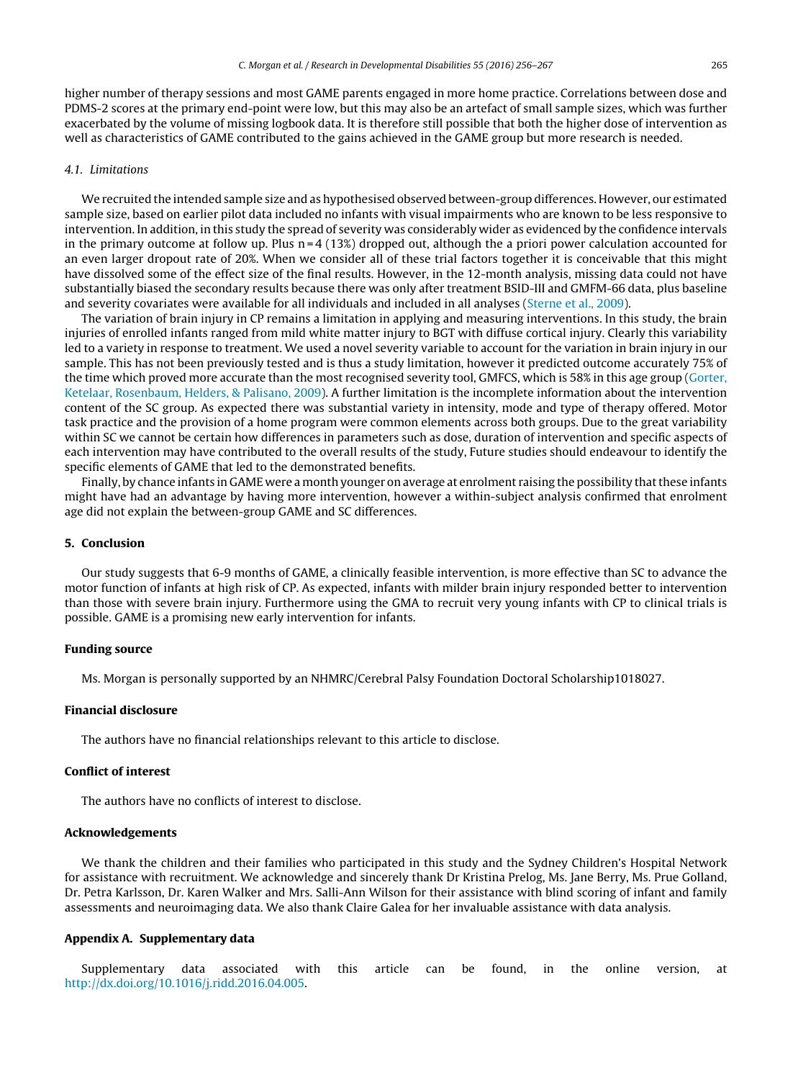higher number of therapy sessions and most GAME parents engaged in more home practice. Correlations between dose and PDMS-2 scores at the primary end-point were low, but this may also be an artefact of small sample sizes, which was further exacerbated by the volume of missing logbook data. It is therefore still possible that both the higher dose of intervention as well as characteristics of GAME contributed to the gains achieved in the GAME group but more research is needed.

# 4.1. Limitations

We recruited the intended sample size and as hypothesised observed between-group differences. However, our estimated sample size, based on earlier pilot data included no infants with visual impairments who are known to be less responsive to intervention. In addition, in this study the spread of severity was considerably wider as evidenced by the confidence intervals in the primary outcome at follow up. Plus  $n = 4$  (13%) dropped out, although the a priori power calculation accounted for an even larger dropout rate of 20%. When we consider all of these trial factors together it is conceivable that this might have dissolved some of the effect size of the final results. However, in the 12-month analysis, missing data could not have substantially biased the secondary results because there was only after treatment BSID-III and GMFM-66 data, plus baseline and severity covariates were available for all individuals and included in all analyses ([Sterne](#page-10-0) et [al.,](#page-10-0) [2009\).](#page-10-0)

The variation of brain injury in CP remains a limitation in applying and measuring interventions. In this study, the brain injuries of enrolled infants ranged from mild white matter injury to BGT with diffuse cortical injury. Clearly this variability led to a variety in response to treatment. We used a novel severity variable to account for the variation in brain injury in our sample. This has not been previously tested and is thus a study limitation, however it predicted outcome accurately 75% of the time which proved more accurate than the most recognised severity tool, GMFCS, which is 58% in this age group [\(Gorter,](#page-10-0) [Ketelaar,](#page-10-0) [Rosenbaum,](#page-10-0) [Helders,](#page-10-0) [&](#page-10-0) [Palisano,](#page-10-0) [2009\).](#page-10-0) A further limitation is the incomplete information about the intervention content of the SC group. As expected there was substantial variety in intensity, mode and type of therapy offered. Motor task practice and the provision of a home program were common elements across both groups. Due to the great variability within SC we cannot be certain how differences in parameters such as dose, duration of intervention and specific aspects of each intervention may have contributed to the overall results of the study, Future studies should endeavour to identify the specific elements of GAME that led to the demonstrated benefits.

Finally, by chance infants in GAME were a month younger on average at enrolment raising the possibility that these infants might have had an advantage by having more intervention, however a within-subject analysis confirmed that enrolment age did not explain the between-group GAME and SC differences.

# **5. Conclusion**

Our study suggests that 6-9 months of GAME, a clinically feasible intervention, is more effective than SC to advance the motor function of infants at high risk of CP. As expected, infants with milder brain injury responded better to intervention than those with severe brain injury. Furthermore using the GMA to recruit very young infants with CP to clinical trials is possible. GAME is a promising new early intervention for infants.

# **Funding source**

Ms. Morgan is personally supported by an NHMRC/Cerebral Palsy Foundation Doctoral Scholarship1018027.

# **Financial disclosure**

The authors have no financial relationships relevant to this article to disclose.

#### **Conflict of interest**

The authors have no conflicts of interest to disclose.

# **Acknowledgements**

We thank the children and their families who participated in this study and the Sydney Children's Hospital Network for assistance with recruitment. We acknowledge and sincerely thank Dr Kristina Prelog, Ms. Jane Berry, Ms. Prue Golland, Dr. Petra Karlsson, Dr. Karen Walker and Mrs. Salli-Ann Wilson for their assistance with blind scoring of infant and family assessments and neuroimaging data. We also thank Claire Galea for her invaluable assistance with data analysis.

#### **Appendix A. Supplementary data**

Supplementary data associated with this article can be found, in the online version, at [http://dx.doi.org/10.1016/j.ridd.2016.04.005.](http://dx.doi.org/10.1016/j.ridd.2016.04.005)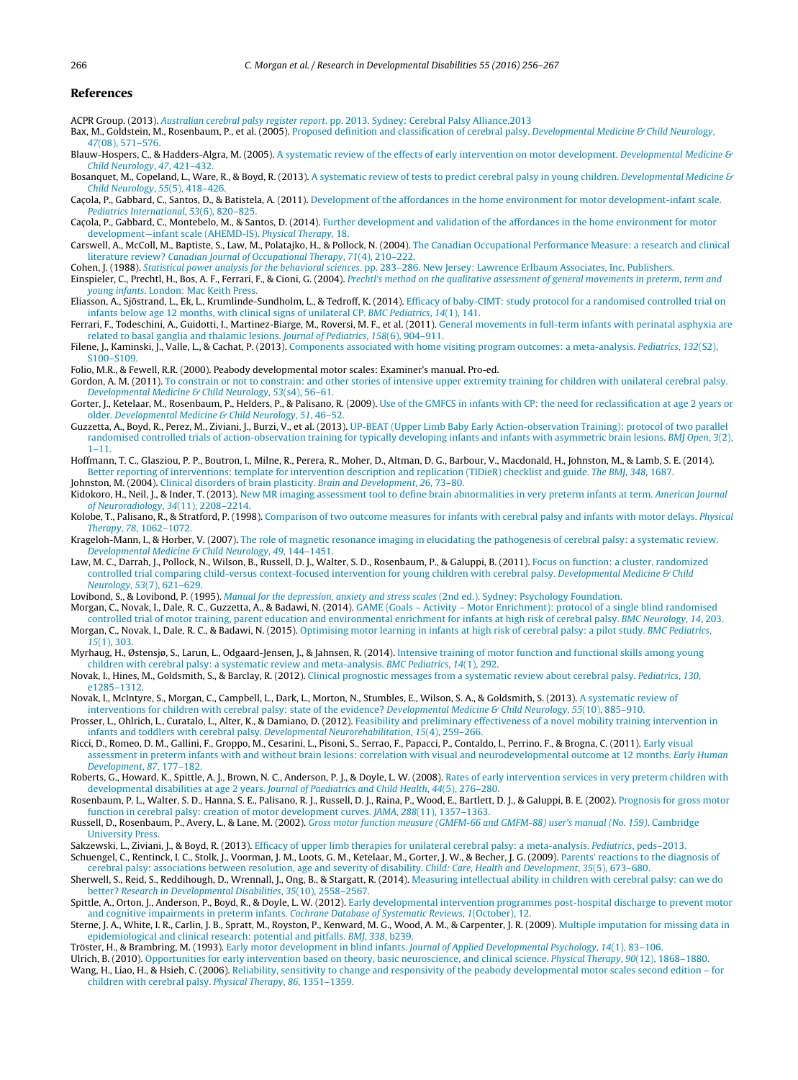#### <span id="page-10-0"></span>**References**

ACPR Group. (2013). [Australian](http://refhub.elsevier.com/S0891-4222(16)30075-0/sbref0005) [cerebral](http://refhub.elsevier.com/S0891-4222(16)30075-0/sbref0005) [palsy](http://refhub.elsevier.com/S0891-4222(16)30075-0/sbref0005) [register](http://refhub.elsevier.com/S0891-4222(16)30075-0/sbref0005) [report](http://refhub.elsevier.com/S0891-4222(16)30075-0/sbref0005)[.](http://refhub.elsevier.com/S0891-4222(16)30075-0/sbref0005) [pp.](http://refhub.elsevier.com/S0891-4222(16)30075-0/sbref0005) [2013.](http://refhub.elsevier.com/S0891-4222(16)30075-0/sbref0005) [Sydney:](http://refhub.elsevier.com/S0891-4222(16)30075-0/sbref0005) [Cerebral](http://refhub.elsevier.com/S0891-4222(16)30075-0/sbref0005) [Palsy](http://refhub.elsevier.com/S0891-4222(16)30075-0/sbref0005) [Alliance.2013](http://refhub.elsevier.com/S0891-4222(16)30075-0/sbref0005)

Bax, M., Goldstein, M., Rosenbaum, P., et al. (2005). [Proposed](http://refhub.elsevier.com/S0891-4222(16)30075-0/sbref0010) [definition](http://refhub.elsevier.com/S0891-4222(16)30075-0/sbref0010) [and](http://refhub.elsevier.com/S0891-4222(16)30075-0/sbref0010) [classification](http://refhub.elsevier.com/S0891-4222(16)30075-0/sbref0010) [of](http://refhub.elsevier.com/S0891-4222(16)30075-0/sbref0010) [cerebral](http://refhub.elsevier.com/S0891-4222(16)30075-0/sbref0010) [palsy.](http://refhub.elsevier.com/S0891-4222(16)30075-0/sbref0010) [Developmental](http://refhub.elsevier.com/S0891-4222(16)30075-0/sbref0010) [Medicine](http://refhub.elsevier.com/S0891-4222(16)30075-0/sbref0010) [&](http://refhub.elsevier.com/S0891-4222(16)30075-0/sbref0010) [Child](http://refhub.elsevier.com/S0891-4222(16)30075-0/sbref0010) [Neurology](http://refhub.elsevier.com/S0891-4222(16)30075-0/sbref0010)[,](http://refhub.elsevier.com/S0891-4222(16)30075-0/sbref0010) [47](http://refhub.elsevier.com/S0891-4222(16)30075-0/sbref0010)[\(08\),](http://refhub.elsevier.com/S0891-4222(16)30075-0/sbref0010) [571–576.](http://refhub.elsevier.com/S0891-4222(16)30075-0/sbref0010)

Blauw-Hospers, C., & Hadders-[A](http://refhub.elsevier.com/S0891-4222(16)30075-0/sbref0015)lgra, M. (2005). A [systematic](http://refhub.elsevier.com/S0891-4222(16)30075-0/sbref0015) [review](http://refhub.elsevier.com/S0891-4222(16)30075-0/sbref0015) [of](http://refhub.elsevier.com/S0891-4222(16)30075-0/sbref0015) [the](http://refhub.elsevier.com/S0891-4222(16)30075-0/sbref0015) [effects](http://refhub.elsevier.com/S0891-4222(16)30075-0/sbref0015) of [early](http://refhub.elsevier.com/S0891-4222(16)30075-0/sbref0015) [intervention](http://refhub.elsevier.com/S0891-4222(16)30075-0/sbref0015) [on](http://refhub.elsevier.com/S0891-4222(16)30075-0/sbref0015) [motor](http://refhub.elsevier.com/S0891-4222(16)30075-0/sbref0015) [development.](http://refhub.elsevier.com/S0891-4222(16)30075-0/sbref0015) [Developmental](http://refhub.elsevier.com/S0891-4222(16)30075-0/sbref0015) [Medicine](http://refhub.elsevier.com/S0891-4222(16)30075-0/sbref0015) [&](http://refhub.elsevier.com/S0891-4222(16)30075-0/sbref0015) [Child](http://refhub.elsevier.com/S0891-4222(16)30075-0/sbref0015) [Neurology](http://refhub.elsevier.com/S0891-4222(16)30075-0/sbref0015)[,](http://refhub.elsevier.com/S0891-4222(16)30075-0/sbref0015) [47](http://refhub.elsevier.com/S0891-4222(16)30075-0/sbref0015)[,](http://refhub.elsevier.com/S0891-4222(16)30075-0/sbref0015) [421](http://refhub.elsevier.com/S0891-4222(16)30075-0/sbref0015)–[432.](http://refhub.elsevier.com/S0891-4222(16)30075-0/sbref0015)

Bosanquet, M., Copeland, L., Ware, R., & Boyd, R. (2013). [A](http://refhub.elsevier.com/S0891-4222(16)30075-0/sbref0020) [systematic](http://refhub.elsevier.com/S0891-4222(16)30075-0/sbref0020) [review](http://refhub.elsevier.com/S0891-4222(16)30075-0/sbref0020) [of](http://refhub.elsevier.com/S0891-4222(16)30075-0/sbref0020) [tests](http://refhub.elsevier.com/S0891-4222(16)30075-0/sbref0020) [to](http://refhub.elsevier.com/S0891-4222(16)30075-0/sbref0020) [predict](http://refhub.elsevier.com/S0891-4222(16)30075-0/sbref0020) [cerebral](http://refhub.elsevier.com/S0891-4222(16)30075-0/sbref0020) [palsy](http://refhub.elsevier.com/S0891-4222(16)30075-0/sbref0020) [in](http://refhub.elsevier.com/S0891-4222(16)30075-0/sbref0020) [young](http://refhub.elsevier.com/S0891-4222(16)30075-0/sbref0020) [children.](http://refhub.elsevier.com/S0891-4222(16)30075-0/sbref0020) [Developmental](http://refhub.elsevier.com/S0891-4222(16)30075-0/sbref0020) [Medicine](http://refhub.elsevier.com/S0891-4222(16)30075-0/sbref0020) [&](http://refhub.elsevier.com/S0891-4222(16)30075-0/sbref0020) [Child](http://refhub.elsevier.com/S0891-4222(16)30075-0/sbref0020) [Neurology](http://refhub.elsevier.com/S0891-4222(16)30075-0/sbref0020)[,](http://refhub.elsevier.com/S0891-4222(16)30075-0/sbref0020) [55](http://refhub.elsevier.com/S0891-4222(16)30075-0/sbref0020)[\(5\),](http://refhub.elsevier.com/S0891-4222(16)30075-0/sbref0020) [418](http://refhub.elsevier.com/S0891-4222(16)30075-0/sbref0020)–[426.](http://refhub.elsevier.com/S0891-4222(16)30075-0/sbref0020)

Cacola, P., Gabbard, C., Santos, D., & Batistela, A. (2011). [Development](http://refhub.elsevier.com/S0891-4222(16)30075-0/sbref0025) [of](http://refhub.elsevier.com/S0891-4222(16)30075-0/sbref0025) [the](http://refhub.elsevier.com/S0891-4222(16)30075-0/sbref0025) [affordances](http://refhub.elsevier.com/S0891-4222(16)30075-0/sbref0025) [in](http://refhub.elsevier.com/S0891-4222(16)30075-0/sbref0025) the [home](http://refhub.elsevier.com/S0891-4222(16)30075-0/sbref0025) [environment](http://refhub.elsevier.com/S0891-4222(16)30075-0/sbref0025) [for](http://refhub.elsevier.com/S0891-4222(16)30075-0/sbref0025) [motor](http://refhub.elsevier.com/S0891-4222(16)30075-0/sbref0025) [development-infant](http://refhub.elsevier.com/S0891-4222(16)30075-0/sbref0025) [scale.](http://refhub.elsevier.com/S0891-4222(16)30075-0/sbref0025) [Pediatrics](http://refhub.elsevier.com/S0891-4222(16)30075-0/sbref0025) [International](http://refhub.elsevier.com/S0891-4222(16)30075-0/sbref0025)[,](http://refhub.elsevier.com/S0891-4222(16)30075-0/sbref0025) [53](http://refhub.elsevier.com/S0891-4222(16)30075-0/sbref0025)[\(6\),](http://refhub.elsevier.com/S0891-4222(16)30075-0/sbref0025) [820](http://refhub.elsevier.com/S0891-4222(16)30075-0/sbref0025)–[825.](http://refhub.elsevier.com/S0891-4222(16)30075-0/sbref0025)

Caçola, P., Gabbard, C., Montebelo, M., & Santos, D. (2014). [Further](http://refhub.elsevier.com/S0891-4222(16)30075-0/sbref0030) [development](http://refhub.elsevier.com/S0891-4222(16)30075-0/sbref0030) [and](http://refhub.elsevier.com/S0891-4222(16)30075-0/sbref0030) [validation](http://refhub.elsevier.com/S0891-4222(16)30075-0/sbref0030) [of](http://refhub.elsevier.com/S0891-4222(16)30075-0/sbref0030) [the](http://refhub.elsevier.com/S0891-4222(16)30075-0/sbref0030) [affordances](http://refhub.elsevier.com/S0891-4222(16)30075-0/sbref0030) [in](http://refhub.elsevier.com/S0891-4222(16)30075-0/sbref0030) the [home](http://refhub.elsevier.com/S0891-4222(16)30075-0/sbref0030) [environment](http://refhub.elsevier.com/S0891-4222(16)30075-0/sbref0030) [for](http://refhub.elsevier.com/S0891-4222(16)30075-0/sbref0030) [motor](http://refhub.elsevier.com/S0891-4222(16)30075-0/sbref0030) [development—infant](http://refhub.elsevier.com/S0891-4222(16)30075-0/sbref0030) [scale](http://refhub.elsevier.com/S0891-4222(16)30075-0/sbref0030) [\(AHEMD-IS\).](http://refhub.elsevier.com/S0891-4222(16)30075-0/sbref0030) [Physical](http://refhub.elsevier.com/S0891-4222(16)30075-0/sbref0030) [Therapy](http://refhub.elsevier.com/S0891-4222(16)30075-0/sbref0030)[,](http://refhub.elsevier.com/S0891-4222(16)30075-0/sbref0030) [18.](http://refhub.elsevier.com/S0891-4222(16)30075-0/sbref0030)

Carswell, A., McColl, M., Baptiste, S., Law, M., Polatajko, H., & Pollock, N. (2004). [The](http://refhub.elsevier.com/S0891-4222(16)30075-0/sbref0035) [Canadian](http://refhub.elsevier.com/S0891-4222(16)30075-0/sbref0035) [Occupational](http://refhub.elsevier.com/S0891-4222(16)30075-0/sbref0035) [Performance](http://refhub.elsevier.com/S0891-4222(16)30075-0/sbref0035) [Measure:](http://refhub.elsevier.com/S0891-4222(16)30075-0/sbref0035) [a](http://refhub.elsevier.com/S0891-4222(16)30075-0/sbref0035) [research](http://refhub.elsevier.com/S0891-4222(16)30075-0/sbref0035) [and](http://refhub.elsevier.com/S0891-4222(16)30075-0/sbref0035) [clinical](http://refhub.elsevier.com/S0891-4222(16)30075-0/sbref0035) [literature](http://refhub.elsevier.com/S0891-4222(16)30075-0/sbref0035) [review?](http://refhub.elsevier.com/S0891-4222(16)30075-0/sbref0035) [Canadian](http://refhub.elsevier.com/S0891-4222(16)30075-0/sbref0035) [Journal](http://refhub.elsevier.com/S0891-4222(16)30075-0/sbref0035) [of](http://refhub.elsevier.com/S0891-4222(16)30075-0/sbref0035) [Occupational](http://refhub.elsevier.com/S0891-4222(16)30075-0/sbref0035) [Therapy](http://refhub.elsevier.com/S0891-4222(16)30075-0/sbref0035)[,](http://refhub.elsevier.com/S0891-4222(16)30075-0/sbref0035) [71](http://refhub.elsevier.com/S0891-4222(16)30075-0/sbref0035)[\(4\),](http://refhub.elsevier.com/S0891-4222(16)30075-0/sbref0035) [210–222.](http://refhub.elsevier.com/S0891-4222(16)30075-0/sbref0035)

Cohen, J. (1988). [Statistical](http://refhub.elsevier.com/S0891-4222(16)30075-0/sbref0040) [power](http://refhub.elsevier.com/S0891-4222(16)30075-0/sbref0040) [analysis](http://refhub.elsevier.com/S0891-4222(16)30075-0/sbref0040) [for](http://refhub.elsevier.com/S0891-4222(16)30075-0/sbref0040) [the](http://refhub.elsevier.com/S0891-4222(16)30075-0/sbref0040) [behavioral](http://refhub.elsevier.com/S0891-4222(16)30075-0/sbref0040) [sciences](http://refhub.elsevier.com/S0891-4222(16)30075-0/sbref0040)[.](http://refhub.elsevier.com/S0891-4222(16)30075-0/sbref0040) [pp.](http://refhub.elsevier.com/S0891-4222(16)30075-0/sbref0040) [283](http://refhub.elsevier.com/S0891-4222(16)30075-0/sbref0040)–[286.](http://refhub.elsevier.com/S0891-4222(16)30075-0/sbref0040) [New](http://refhub.elsevier.com/S0891-4222(16)30075-0/sbref0040) [Jersey:](http://refhub.elsevier.com/S0891-4222(16)30075-0/sbref0040) [Lawrence](http://refhub.elsevier.com/S0891-4222(16)30075-0/sbref0040) [Erlbaum](http://refhub.elsevier.com/S0891-4222(16)30075-0/sbref0040) [Associates,](http://refhub.elsevier.com/S0891-4222(16)30075-0/sbref0040) [Inc.](http://refhub.elsevier.com/S0891-4222(16)30075-0/sbref0040) [Publishers.](http://refhub.elsevier.com/S0891-4222(16)30075-0/sbref0040)

Einspieler, C., Prechtl, H., Bos, A. F., Ferrari, F., & Cioni, G. (2004). [Prechtl's](http://refhub.elsevier.com/S0891-4222(16)30075-0/sbref0045) [method](http://refhub.elsevier.com/S0891-4222(16)30075-0/sbref0045) [on](http://refhub.elsevier.com/S0891-4222(16)30075-0/sbref0045) [the](http://refhub.elsevier.com/S0891-4222(16)30075-0/sbref0045) [qualitative](http://refhub.elsevier.com/S0891-4222(16)30075-0/sbref0045) [assessment](http://refhub.elsevier.com/S0891-4222(16)30075-0/sbref0045) [of](http://refhub.elsevier.com/S0891-4222(16)30075-0/sbref0045) [general](http://refhub.elsevier.com/S0891-4222(16)30075-0/sbref0045) [movements](http://refhub.elsevier.com/S0891-4222(16)30075-0/sbref0045) [in](http://refhub.elsevier.com/S0891-4222(16)30075-0/sbref0045) [preterm,](http://refhub.elsevier.com/S0891-4222(16)30075-0/sbref0045) [term](http://refhub.elsevier.com/S0891-4222(16)30075-0/sbref0045) [and](http://refhub.elsevier.com/S0891-4222(16)30075-0/sbref0045) [young](http://refhub.elsevier.com/S0891-4222(16)30075-0/sbref0045) [infants](http://refhub.elsevier.com/S0891-4222(16)30075-0/sbref0045)[.](http://refhub.elsevier.com/S0891-4222(16)30075-0/sbref0045) [London:](http://refhub.elsevier.com/S0891-4222(16)30075-0/sbref0045) [Mac](http://refhub.elsevier.com/S0891-4222(16)30075-0/sbref0045) [Keith](http://refhub.elsevier.com/S0891-4222(16)30075-0/sbref0045) [Press.](http://refhub.elsevier.com/S0891-4222(16)30075-0/sbref0045)

Eliasson, A., Sjöstrand, L., Ek, L., Krumlinde-Sundholm, L., & Tedroff, K. (2014). [Efficacy](http://refhub.elsevier.com/S0891-4222(16)30075-0/sbref0050) [of](http://refhub.elsevier.com/S0891-4222(16)30075-0/sbref0050) [baby-CIMT:](http://refhub.elsevier.com/S0891-4222(16)30075-0/sbref0050) [study](http://refhub.elsevier.com/S0891-4222(16)30075-0/sbref0050) [protocol](http://refhub.elsevier.com/S0891-4222(16)30075-0/sbref0050) [for](http://refhub.elsevier.com/S0891-4222(16)30075-0/sbref0050) [a](http://refhub.elsevier.com/S0891-4222(16)30075-0/sbref0050) [randomised](http://refhub.elsevier.com/S0891-4222(16)30075-0/sbref0050) [controlled](http://refhub.elsevier.com/S0891-4222(16)30075-0/sbref0050) [trial](http://refhub.elsevier.com/S0891-4222(16)30075-0/sbref0050) [on](http://refhub.elsevier.com/S0891-4222(16)30075-0/sbref0050) [infants](http://refhub.elsevier.com/S0891-4222(16)30075-0/sbref0050) [below](http://refhub.elsevier.com/S0891-4222(16)30075-0/sbref0050) [age](http://refhub.elsevier.com/S0891-4222(16)30075-0/sbref0050) [12](http://refhub.elsevier.com/S0891-4222(16)30075-0/sbref0050) [months,](http://refhub.elsevier.com/S0891-4222(16)30075-0/sbref0050) [with](http://refhub.elsevier.com/S0891-4222(16)30075-0/sbref0050) [clinical](http://refhub.elsevier.com/S0891-4222(16)30075-0/sbref0050) [signs](http://refhub.elsevier.com/S0891-4222(16)30075-0/sbref0050) [of](http://refhub.elsevier.com/S0891-4222(16)30075-0/sbref0050) [unilateral](http://refhub.elsevier.com/S0891-4222(16)30075-0/sbref0050) [CP.](http://refhub.elsevier.com/S0891-4222(16)30075-0/sbref0050) [BMC](http://refhub.elsevier.com/S0891-4222(16)30075-0/sbref0050) [Pediatrics](http://refhub.elsevier.com/S0891-4222(16)30075-0/sbref0050), [14](http://refhub.elsevier.com/S0891-4222(16)30075-0/sbref0050)[\(1\),](http://refhub.elsevier.com/S0891-4222(16)30075-0/sbref0050) [141.](http://refhub.elsevier.com/S0891-4222(16)30075-0/sbref0050)

Ferrari, F., Todeschini, A., Guidotti, I., Martinez-Biarge, M., Roversi, M. F., et al. (2011). [General](http://refhub.elsevier.com/S0891-4222(16)30075-0/sbref0055) [movements](http://refhub.elsevier.com/S0891-4222(16)30075-0/sbref0055) [in](http://refhub.elsevier.com/S0891-4222(16)30075-0/sbref0055) [full-term](http://refhub.elsevier.com/S0891-4222(16)30075-0/sbref0055) [infants](http://refhub.elsevier.com/S0891-4222(16)30075-0/sbref0055) [with](http://refhub.elsevier.com/S0891-4222(16)30075-0/sbref0055) [perinatal](http://refhub.elsevier.com/S0891-4222(16)30075-0/sbref0055) [asphyxia](http://refhub.elsevier.com/S0891-4222(16)30075-0/sbref0055) [are](http://refhub.elsevier.com/S0891-4222(16)30075-0/sbref0055) [related](http://refhub.elsevier.com/S0891-4222(16)30075-0/sbref0055) [to](http://refhub.elsevier.com/S0891-4222(16)30075-0/sbref0055) [basal](http://refhub.elsevier.com/S0891-4222(16)30075-0/sbref0055) [ganglia](http://refhub.elsevier.com/S0891-4222(16)30075-0/sbref0055) [and](http://refhub.elsevier.com/S0891-4222(16)30075-0/sbref0055) [thalamic](http://refhub.elsevier.com/S0891-4222(16)30075-0/sbref0055) [lesions.](http://refhub.elsevier.com/S0891-4222(16)30075-0/sbref0055) [Journal](http://refhub.elsevier.com/S0891-4222(16)30075-0/sbref0055) [of](http://refhub.elsevier.com/S0891-4222(16)30075-0/sbref0055) [Pediatrics](http://refhub.elsevier.com/S0891-4222(16)30075-0/sbref0055)[,](http://refhub.elsevier.com/S0891-4222(16)30075-0/sbref0055) [158](http://refhub.elsevier.com/S0891-4222(16)30075-0/sbref0055)[\(6\),](http://refhub.elsevier.com/S0891-4222(16)30075-0/sbref0055) [904](http://refhub.elsevier.com/S0891-4222(16)30075-0/sbref0055)–[911.](http://refhub.elsevier.com/S0891-4222(16)30075-0/sbref0055)

Filene, J., Kaminski, J., Valle, L., & Cachat, P. (2013). [Components](http://refhub.elsevier.com/S0891-4222(16)30075-0/sbref0060) [associated](http://refhub.elsevier.com/S0891-4222(16)30075-0/sbref0060) [with](http://refhub.elsevier.com/S0891-4222(16)30075-0/sbref0060) [home](http://refhub.elsevier.com/S0891-4222(16)30075-0/sbref0060) [visiting](http://refhub.elsevier.com/S0891-4222(16)30075-0/sbref0060) [program](http://refhub.elsevier.com/S0891-4222(16)30075-0/sbref0060) [outcomes:](http://refhub.elsevier.com/S0891-4222(16)30075-0/sbref0060) [a](http://refhub.elsevier.com/S0891-4222(16)30075-0/sbref0060) [meta-analysis.](http://refhub.elsevier.com/S0891-4222(16)30075-0/sbref0060) [Pediatrics](http://refhub.elsevier.com/S0891-4222(16)30075-0/sbref0060)[,](http://refhub.elsevier.com/S0891-4222(16)30075-0/sbref0060) [132](http://refhub.elsevier.com/S0891-4222(16)30075-0/sbref0060)[\(S2\),](http://refhub.elsevier.com/S0891-4222(16)30075-0/sbref0060) [S100–S109.](http://refhub.elsevier.com/S0891-4222(16)30075-0/sbref0060)

Folio, M.R., & Fewell, R.R. (2000). Peabody developmental motor scales: Examiner's manual. Pro-ed.

Gordon, A. M. (2011). [To](http://refhub.elsevier.com/S0891-4222(16)30075-0/sbref0070) [constrain](http://refhub.elsevier.com/S0891-4222(16)30075-0/sbref0070) [or](http://refhub.elsevier.com/S0891-4222(16)30075-0/sbref0070) [not](http://refhub.elsevier.com/S0891-4222(16)30075-0/sbref0070) [to](http://refhub.elsevier.com/S0891-4222(16)30075-0/sbref0070) [constrain:](http://refhub.elsevier.com/S0891-4222(16)30075-0/sbref0070) [and](http://refhub.elsevier.com/S0891-4222(16)30075-0/sbref0070) [other](http://refhub.elsevier.com/S0891-4222(16)30075-0/sbref0070) [stories](http://refhub.elsevier.com/S0891-4222(16)30075-0/sbref0070) [of](http://refhub.elsevier.com/S0891-4222(16)30075-0/sbref0070) [intensive](http://refhub.elsevier.com/S0891-4222(16)30075-0/sbref0070) [upper](http://refhub.elsevier.com/S0891-4222(16)30075-0/sbref0070) [extremity](http://refhub.elsevier.com/S0891-4222(16)30075-0/sbref0070) [training](http://refhub.elsevier.com/S0891-4222(16)30075-0/sbref0070) [for](http://refhub.elsevier.com/S0891-4222(16)30075-0/sbref0070) [children](http://refhub.elsevier.com/S0891-4222(16)30075-0/sbref0070) [with](http://refhub.elsevier.com/S0891-4222(16)30075-0/sbref0070) [unilateral](http://refhub.elsevier.com/S0891-4222(16)30075-0/sbref0070) [cerebral](http://refhub.elsevier.com/S0891-4222(16)30075-0/sbref0070) [palsy.](http://refhub.elsevier.com/S0891-4222(16)30075-0/sbref0070) [Developmental](http://refhub.elsevier.com/S0891-4222(16)30075-0/sbref0070) [Medicine](http://refhub.elsevier.com/S0891-4222(16)30075-0/sbref0070) [&](http://refhub.elsevier.com/S0891-4222(16)30075-0/sbref0070) [Child](http://refhub.elsevier.com/S0891-4222(16)30075-0/sbref0070) [Neurology](http://refhub.elsevier.com/S0891-4222(16)30075-0/sbref0070)[,](http://refhub.elsevier.com/S0891-4222(16)30075-0/sbref0070) [53](http://refhub.elsevier.com/S0891-4222(16)30075-0/sbref0070)[\(s4\),](http://refhub.elsevier.com/S0891-4222(16)30075-0/sbref0070) [56–61.](http://refhub.elsevier.com/S0891-4222(16)30075-0/sbref0070)

Gorter, J., Ketelaar, M., Rosenbaum, P., Helders, P., & Palisano, R. (2009). [Use](http://refhub.elsevier.com/S0891-4222(16)30075-0/sbref0075) [of](http://refhub.elsevier.com/S0891-4222(16)30075-0/sbref0075) [the](http://refhub.elsevier.com/S0891-4222(16)30075-0/sbref0075) [GMFCS](http://refhub.elsevier.com/S0891-4222(16)30075-0/sbref0075) [in](http://refhub.elsevier.com/S0891-4222(16)30075-0/sbref0075) [infants](http://refhub.elsevier.com/S0891-4222(16)30075-0/sbref0075) [with](http://refhub.elsevier.com/S0891-4222(16)30075-0/sbref0075) [CP:](http://refhub.elsevier.com/S0891-4222(16)30075-0/sbref0075) [the](http://refhub.elsevier.com/S0891-4222(16)30075-0/sbref0075) [need](http://refhub.elsevier.com/S0891-4222(16)30075-0/sbref0075) [for](http://refhub.elsevier.com/S0891-4222(16)30075-0/sbref0075) [reclassification](http://refhub.elsevier.com/S0891-4222(16)30075-0/sbref0075) [at](http://refhub.elsevier.com/S0891-4222(16)30075-0/sbref0075) [age](http://refhub.elsevier.com/S0891-4222(16)30075-0/sbref0075) [2](http://refhub.elsevier.com/S0891-4222(16)30075-0/sbref0075) [years](http://refhub.elsevier.com/S0891-4222(16)30075-0/sbref0075) [or](http://refhub.elsevier.com/S0891-4222(16)30075-0/sbref0075) [older.](http://refhub.elsevier.com/S0891-4222(16)30075-0/sbref0075) [Developmental](http://refhub.elsevier.com/S0891-4222(16)30075-0/sbref0075) [Medicine](http://refhub.elsevier.com/S0891-4222(16)30075-0/sbref0075) [&](http://refhub.elsevier.com/S0891-4222(16)30075-0/sbref0075) [Child](http://refhub.elsevier.com/S0891-4222(16)30075-0/sbref0075) [Neurology](http://refhub.elsevier.com/S0891-4222(16)30075-0/sbref0075)[,](http://refhub.elsevier.com/S0891-4222(16)30075-0/sbref0075) [51](http://refhub.elsevier.com/S0891-4222(16)30075-0/sbref0075), 46-52.

Guzzetta, A., Boyd, R., Perez, M., Ziviani, J., Burzi, V., et al. (2013). [UP-BEAT](http://refhub.elsevier.com/S0891-4222(16)30075-0/sbref0080) [\(Upper](http://refhub.elsevier.com/S0891-4222(16)30075-0/sbref0080) [Limb](http://refhub.elsevier.com/S0891-4222(16)30075-0/sbref0080) [Baby](http://refhub.elsevier.com/S0891-4222(16)30075-0/sbref0080) [Early](http://refhub.elsevier.com/S0891-4222(16)30075-0/sbref0080) [Action-observation](http://refhub.elsevier.com/S0891-4222(16)30075-0/sbref0080) [Training\):](http://refhub.elsevier.com/S0891-4222(16)30075-0/sbref0080) [protocol](http://refhub.elsevier.com/S0891-4222(16)30075-0/sbref0080) [of](http://refhub.elsevier.com/S0891-4222(16)30075-0/sbref0080) [two](http://refhub.elsevier.com/S0891-4222(16)30075-0/sbref0080) [parallel](http://refhub.elsevier.com/S0891-4222(16)30075-0/sbref0080) [randomised](http://refhub.elsevier.com/S0891-4222(16)30075-0/sbref0080) [controlled](http://refhub.elsevier.com/S0891-4222(16)30075-0/sbref0080) [trials](http://refhub.elsevier.com/S0891-4222(16)30075-0/sbref0080) [of](http://refhub.elsevier.com/S0891-4222(16)30075-0/sbref0080) [action-observation](http://refhub.elsevier.com/S0891-4222(16)30075-0/sbref0080) [training](http://refhub.elsevier.com/S0891-4222(16)30075-0/sbref0080) [for](http://refhub.elsevier.com/S0891-4222(16)30075-0/sbref0080) [typically](http://refhub.elsevier.com/S0891-4222(16)30075-0/sbref0080) [developing](http://refhub.elsevier.com/S0891-4222(16)30075-0/sbref0080) [infants](http://refhub.elsevier.com/S0891-4222(16)30075-0/sbref0080) [and](http://refhub.elsevier.com/S0891-4222(16)30075-0/sbref0080) [infants](http://refhub.elsevier.com/S0891-4222(16)30075-0/sbref0080) [with](http://refhub.elsevier.com/S0891-4222(16)30075-0/sbref0080) [asymmetric](http://refhub.elsevier.com/S0891-4222(16)30075-0/sbref0080) [brain](http://refhub.elsevier.com/S0891-4222(16)30075-0/sbref0080) [lesions.](http://refhub.elsevier.com/S0891-4222(16)30075-0/sbref0080) [BMJ](http://refhub.elsevier.com/S0891-4222(16)30075-0/sbref0080) [Open](http://refhub.elsevier.com/S0891-4222(16)30075-0/sbref0080)[,](http://refhub.elsevier.com/S0891-4222(16)30075-0/sbref0080) [3](http://refhub.elsevier.com/S0891-4222(16)30075-0/sbref0080)[\(2\),](http://refhub.elsevier.com/S0891-4222(16)30075-0/sbref0080) [1–11.](http://refhub.elsevier.com/S0891-4222(16)30075-0/sbref0080)

Hoffmann, T. C., Glasziou, P. P., Boutron, I., Milne, R., Perera, R., Moher, D., Altman, D. G., Barbour, V., Macdonald, H., Johnston, M., & Lamb, S. E. (2014). [Better](http://refhub.elsevier.com/S0891-4222(16)30075-0/sbref0085) [reporting](http://refhub.elsevier.com/S0891-4222(16)30075-0/sbref0085) [of](http://refhub.elsevier.com/S0891-4222(16)30075-0/sbref0085) [interventions:](http://refhub.elsevier.com/S0891-4222(16)30075-0/sbref0085) [template](http://refhub.elsevier.com/S0891-4222(16)30075-0/sbref0085) [for](http://refhub.elsevier.com/S0891-4222(16)30075-0/sbref0085) [intervention](http://refhub.elsevier.com/S0891-4222(16)30075-0/sbref0085) [description](http://refhub.elsevier.com/S0891-4222(16)30075-0/sbref0085) [and](http://refhub.elsevier.com/S0891-4222(16)30075-0/sbref0085) [replication](http://refhub.elsevier.com/S0891-4222(16)30075-0/sbref0085) [\(TIDieR\)](http://refhub.elsevier.com/S0891-4222(16)30075-0/sbref0085) [checklist](http://refhub.elsevier.com/S0891-4222(16)30075-0/sbref0085) [and](http://refhub.elsevier.com/S0891-4222(16)30075-0/sbref0085) [guide.](http://refhub.elsevier.com/S0891-4222(16)30075-0/sbref0085) [The](http://refhub.elsevier.com/S0891-4222(16)30075-0/sbref0085) [BMJ](http://refhub.elsevier.com/S0891-4222(16)30075-0/sbref0085)[,](http://refhub.elsevier.com/S0891-4222(16)30075-0/sbref0085) [348](http://refhub.elsevier.com/S0891-4222(16)30075-0/sbref0085)[,](http://refhub.elsevier.com/S0891-4222(16)30075-0/sbref0085) [1687.](http://refhub.elsevier.com/S0891-4222(16)30075-0/sbref0085) Johnston, M. (2004). [Clinical](http://refhub.elsevier.com/S0891-4222(16)30075-0/sbref0090) [disorders](http://refhub.elsevier.com/S0891-4222(16)30075-0/sbref0090) [of](http://refhub.elsevier.com/S0891-4222(16)30075-0/sbref0090) [brain](http://refhub.elsevier.com/S0891-4222(16)30075-0/sbref0090) [plasticity.](http://refhub.elsevier.com/S0891-4222(16)30075-0/sbref0090) [Brain](http://refhub.elsevier.com/S0891-4222(16)30075-0/sbref0090) [and](http://refhub.elsevier.com/S0891-4222(16)30075-0/sbref0090) [Development](http://refhub.elsevier.com/S0891-4222(16)30075-0/sbref0090)[,](http://refhub.elsevier.com/S0891-4222(16)30075-0/sbref0090) [26](http://refhub.elsevier.com/S0891-4222(16)30075-0/sbref0090)[,](http://refhub.elsevier.com/S0891-4222(16)30075-0/sbref0090) [73–80.](http://refhub.elsevier.com/S0891-4222(16)30075-0/sbref0090)

Kidokoro, H., Neil, J., & Inder, T. (2013). [New](http://refhub.elsevier.com/S0891-4222(16)30075-0/sbref0095) [MR](http://refhub.elsevier.com/S0891-4222(16)30075-0/sbref0095) [imaging](http://refhub.elsevier.com/S0891-4222(16)30075-0/sbref0095) [assessment](http://refhub.elsevier.com/S0891-4222(16)30075-0/sbref0095) [tool](http://refhub.elsevier.com/S0891-4222(16)30075-0/sbref0095) [to](http://refhub.elsevier.com/S0891-4222(16)30075-0/sbref0095) [define](http://refhub.elsevier.com/S0891-4222(16)30075-0/sbref0095) [brain](http://refhub.elsevier.com/S0891-4222(16)30075-0/sbref0095) [abnormalities](http://refhub.elsevier.com/S0891-4222(16)30075-0/sbref0095) [in](http://refhub.elsevier.com/S0891-4222(16)30075-0/sbref0095) [very](http://refhub.elsevier.com/S0891-4222(16)30075-0/sbref0095) [preterm](http://refhub.elsevier.com/S0891-4222(16)30075-0/sbref0095) [infants](http://refhub.elsevier.com/S0891-4222(16)30075-0/sbref0095) [at](http://refhub.elsevier.com/S0891-4222(16)30075-0/sbref0095) [term.](http://refhub.elsevier.com/S0891-4222(16)30075-0/sbref0095) [American](http://refhub.elsevier.com/S0891-4222(16)30075-0/sbref0095) [Journal](http://refhub.elsevier.com/S0891-4222(16)30075-0/sbref0095) [of](http://refhub.elsevier.com/S0891-4222(16)30075-0/sbref0095) [Neuroradiology](http://refhub.elsevier.com/S0891-4222(16)30075-0/sbref0095)[,](http://refhub.elsevier.com/S0891-4222(16)30075-0/sbref0095) [34](http://refhub.elsevier.com/S0891-4222(16)30075-0/sbref0095)[\(11\),](http://refhub.elsevier.com/S0891-4222(16)30075-0/sbref0095) [2208–2214.](http://refhub.elsevier.com/S0891-4222(16)30075-0/sbref0095)

Kolobe, T., Palisano, R., & Stratford, P. (1998). [Comparison](http://refhub.elsevier.com/S0891-4222(16)30075-0/sbref0100) [of](http://refhub.elsevier.com/S0891-4222(16)30075-0/sbref0100) [two](http://refhub.elsevier.com/S0891-4222(16)30075-0/sbref0100) [outcome](http://refhub.elsevier.com/S0891-4222(16)30075-0/sbref0100) [measures](http://refhub.elsevier.com/S0891-4222(16)30075-0/sbref0100) [for](http://refhub.elsevier.com/S0891-4222(16)30075-0/sbref0100) [infants](http://refhub.elsevier.com/S0891-4222(16)30075-0/sbref0100) [with](http://refhub.elsevier.com/S0891-4222(16)30075-0/sbref0100) [cerebral](http://refhub.elsevier.com/S0891-4222(16)30075-0/sbref0100) [palsy](http://refhub.elsevier.com/S0891-4222(16)30075-0/sbref0100) [and](http://refhub.elsevier.com/S0891-4222(16)30075-0/sbref0100) infants with [motor](http://refhub.elsevier.com/S0891-4222(16)30075-0/sbref0100) [delays.](http://refhub.elsevier.com/S0891-4222(16)30075-0/sbref0100) [Physical](http://refhub.elsevier.com/S0891-4222(16)30075-0/sbref0100) [Therapy](http://refhub.elsevier.com/S0891-4222(16)30075-0/sbref0100)[,](http://refhub.elsevier.com/S0891-4222(16)30075-0/sbref0100) [78](http://refhub.elsevier.com/S0891-4222(16)30075-0/sbref0100)[,](http://refhub.elsevier.com/S0891-4222(16)30075-0/sbref0100) [1062–1072.](http://refhub.elsevier.com/S0891-4222(16)30075-0/sbref0100)

Krageloh-Mann, I., & Horber, V. (2007). [The](http://refhub.elsevier.com/S0891-4222(16)30075-0/sbref0105) [role](http://refhub.elsevier.com/S0891-4222(16)30075-0/sbref0105) [of](http://refhub.elsevier.com/S0891-4222(16)30075-0/sbref0105) [magnetic](http://refhub.elsevier.com/S0891-4222(16)30075-0/sbref0105) [resonance](http://refhub.elsevier.com/S0891-4222(16)30075-0/sbref0105) [imaging](http://refhub.elsevier.com/S0891-4222(16)30075-0/sbref0105) [in](http://refhub.elsevier.com/S0891-4222(16)30075-0/sbref0105) [elucidating](http://refhub.elsevier.com/S0891-4222(16)30075-0/sbref0105) [the](http://refhub.elsevier.com/S0891-4222(16)30075-0/sbref0105) [pathogenesis](http://refhub.elsevier.com/S0891-4222(16)30075-0/sbref0105) [of](http://refhub.elsevier.com/S0891-4222(16)30075-0/sbref0105) [cerebral](http://refhub.elsevier.com/S0891-4222(16)30075-0/sbref0105) [palsy:](http://refhub.elsevier.com/S0891-4222(16)30075-0/sbref0105) [a](http://refhub.elsevier.com/S0891-4222(16)30075-0/sbref0105) [systematic](http://refhub.elsevier.com/S0891-4222(16)30075-0/sbref0105) [review.](http://refhub.elsevier.com/S0891-4222(16)30075-0/sbref0105) [Developmental](http://refhub.elsevier.com/S0891-4222(16)30075-0/sbref0105) [Medicine](http://refhub.elsevier.com/S0891-4222(16)30075-0/sbref0105) [&](http://refhub.elsevier.com/S0891-4222(16)30075-0/sbref0105) [Child](http://refhub.elsevier.com/S0891-4222(16)30075-0/sbref0105) [Neurology](http://refhub.elsevier.com/S0891-4222(16)30075-0/sbref0105)[,](http://refhub.elsevier.com/S0891-4222(16)30075-0/sbref0105) [49](http://refhub.elsevier.com/S0891-4222(16)30075-0/sbref0105)[,](http://refhub.elsevier.com/S0891-4222(16)30075-0/sbref0105) [144](http://refhub.elsevier.com/S0891-4222(16)30075-0/sbref0105)–[1451.](http://refhub.elsevier.com/S0891-4222(16)30075-0/sbref0105)

Law, M. C., Darrah, J., Pollock, N., Wilson, B., Russell, D. J., Walter, S. D., Rosenbaum, P., & Galuppi, B. (2011). [Focus](http://refhub.elsevier.com/S0891-4222(16)30075-0/sbref0110) [on](http://refhub.elsevier.com/S0891-4222(16)30075-0/sbref0110) [function:](http://refhub.elsevier.com/S0891-4222(16)30075-0/sbref0110) [a](http://refhub.elsevier.com/S0891-4222(16)30075-0/sbref0110) [cluster,](http://refhub.elsevier.com/S0891-4222(16)30075-0/sbref0110) [randomized](http://refhub.elsevier.com/S0891-4222(16)30075-0/sbref0110) [controlled](http://refhub.elsevier.com/S0891-4222(16)30075-0/sbref0110) [trial](http://refhub.elsevier.com/S0891-4222(16)30075-0/sbref0110) [comparing](http://refhub.elsevier.com/S0891-4222(16)30075-0/sbref0110) [child-versus](http://refhub.elsevier.com/S0891-4222(16)30075-0/sbref0110) [context-focused](http://refhub.elsevier.com/S0891-4222(16)30075-0/sbref0110) [intervention](http://refhub.elsevier.com/S0891-4222(16)30075-0/sbref0110) [for](http://refhub.elsevier.com/S0891-4222(16)30075-0/sbref0110) [young](http://refhub.elsevier.com/S0891-4222(16)30075-0/sbref0110) [children](http://refhub.elsevier.com/S0891-4222(16)30075-0/sbref0110) [with](http://refhub.elsevier.com/S0891-4222(16)30075-0/sbref0110) [cerebral](http://refhub.elsevier.com/S0891-4222(16)30075-0/sbref0110) [palsy.](http://refhub.elsevier.com/S0891-4222(16)30075-0/sbref0110) [Developmental](http://refhub.elsevier.com/S0891-4222(16)30075-0/sbref0110) [Medicine](http://refhub.elsevier.com/S0891-4222(16)30075-0/sbref0110) [&](http://refhub.elsevier.com/S0891-4222(16)30075-0/sbref0110) [Child](http://refhub.elsevier.com/S0891-4222(16)30075-0/sbref0110) [Neurology](http://refhub.elsevier.com/S0891-4222(16)30075-0/sbref0110), [53](http://refhub.elsevier.com/S0891-4222(16)30075-0/sbref0110)[\(7\),](http://refhub.elsevier.com/S0891-4222(16)30075-0/sbref0110) [621–629.](http://refhub.elsevier.com/S0891-4222(16)30075-0/sbref0110)

Lovibond, S., & Lovibond, P. (1995). [Manual](http://refhub.elsevier.com/S0891-4222(16)30075-0/sbref0115) [for](http://refhub.elsevier.com/S0891-4222(16)30075-0/sbref0115) [the](http://refhub.elsevier.com/S0891-4222(16)30075-0/sbref0115) [depression,](http://refhub.elsevier.com/S0891-4222(16)30075-0/sbref0115) [anxiety](http://refhub.elsevier.com/S0891-4222(16)30075-0/sbref0115) [and](http://refhub.elsevier.com/S0891-4222(16)30075-0/sbref0115) [stress](http://refhub.elsevier.com/S0891-4222(16)30075-0/sbref0115) [scales](http://refhub.elsevier.com/S0891-4222(16)30075-0/sbref0115) [\(2nd](http://refhub.elsevier.com/S0891-4222(16)30075-0/sbref0115) [ed.\).](http://refhub.elsevier.com/S0891-4222(16)30075-0/sbref0115) [Sydney:](http://refhub.elsevier.com/S0891-4222(16)30075-0/sbref0115) [Psychology](http://refhub.elsevier.com/S0891-4222(16)30075-0/sbref0115) [Foundation.](http://refhub.elsevier.com/S0891-4222(16)30075-0/sbref0115)

Morgan, C., Novak, I., Dale, R. C., Guzzetta, A., & Badawi, N. (2014). [GAME](http://refhub.elsevier.com/S0891-4222(16)30075-0/sbref0120) [\(Goals](http://refhub.elsevier.com/S0891-4222(16)30075-0/sbref0120) – [Activity](http://refhub.elsevier.com/S0891-4222(16)30075-0/sbref0120) – [Motor](http://refhub.elsevier.com/S0891-4222(16)30075-0/sbref0120) [Enrichment\):](http://refhub.elsevier.com/S0891-4222(16)30075-0/sbref0120) [protocol](http://refhub.elsevier.com/S0891-4222(16)30075-0/sbref0120) [of](http://refhub.elsevier.com/S0891-4222(16)30075-0/sbref0120) [a](http://refhub.elsevier.com/S0891-4222(16)30075-0/sbref0120) [single](http://refhub.elsevier.com/S0891-4222(16)30075-0/sbref0120) [blind](http://refhub.elsevier.com/S0891-4222(16)30075-0/sbref0120) [randomised](http://refhub.elsevier.com/S0891-4222(16)30075-0/sbref0120) [controlled](http://refhub.elsevier.com/S0891-4222(16)30075-0/sbref0120) [trial](http://refhub.elsevier.com/S0891-4222(16)30075-0/sbref0120) [of](http://refhub.elsevier.com/S0891-4222(16)30075-0/sbref0120) [motor](http://refhub.elsevier.com/S0891-4222(16)30075-0/sbref0120) [training,](http://refhub.elsevier.com/S0891-4222(16)30075-0/sbref0120) [parent](http://refhub.elsevier.com/S0891-4222(16)30075-0/sbref0120) [education](http://refhub.elsevier.com/S0891-4222(16)30075-0/sbref0120) [and](http://refhub.elsevier.com/S0891-4222(16)30075-0/sbref0120) [environmental](http://refhub.elsevier.com/S0891-4222(16)30075-0/sbref0120) [enrichment](http://refhub.elsevier.com/S0891-4222(16)30075-0/sbref0120) [for](http://refhub.elsevier.com/S0891-4222(16)30075-0/sbref0120) [infants](http://refhub.elsevier.com/S0891-4222(16)30075-0/sbref0120) [at](http://refhub.elsevier.com/S0891-4222(16)30075-0/sbref0120) [high](http://refhub.elsevier.com/S0891-4222(16)30075-0/sbref0120) [risk](http://refhub.elsevier.com/S0891-4222(16)30075-0/sbref0120) [of](http://refhub.elsevier.com/S0891-4222(16)30075-0/sbref0120) [cerebral](http://refhub.elsevier.com/S0891-4222(16)30075-0/sbref0120) [palsy.](http://refhub.elsevier.com/S0891-4222(16)30075-0/sbref0120) [BMC](http://refhub.elsevier.com/S0891-4222(16)30075-0/sbref0120) [Neurology](http://refhub.elsevier.com/S0891-4222(16)30075-0/sbref0120), [14](http://refhub.elsevier.com/S0891-4222(16)30075-0/sbref0120)[,](http://refhub.elsevier.com/S0891-4222(16)30075-0/sbref0120) [203.](http://refhub.elsevier.com/S0891-4222(16)30075-0/sbref0120)

Morgan, C., Novak, I., Dale, R. C., & Badawi, N. (2015). [Optimising](http://refhub.elsevier.com/S0891-4222(16)30075-0/sbref0125) [motor](http://refhub.elsevier.com/S0891-4222(16)30075-0/sbref0125) [learning](http://refhub.elsevier.com/S0891-4222(16)30075-0/sbref0125) [in](http://refhub.elsevier.com/S0891-4222(16)30075-0/sbref0125) [infants](http://refhub.elsevier.com/S0891-4222(16)30075-0/sbref0125) [at](http://refhub.elsevier.com/S0891-4222(16)30075-0/sbref0125) [high](http://refhub.elsevier.com/S0891-4222(16)30075-0/sbref0125) [risk](http://refhub.elsevier.com/S0891-4222(16)30075-0/sbref0125) [of](http://refhub.elsevier.com/S0891-4222(16)30075-0/sbref0125) [cerebral](http://refhub.elsevier.com/S0891-4222(16)30075-0/sbref0125) [palsy:](http://refhub.elsevier.com/S0891-4222(16)30075-0/sbref0125) [a](http://refhub.elsevier.com/S0891-4222(16)30075-0/sbref0125) [pilot](http://refhub.elsevier.com/S0891-4222(16)30075-0/sbref0125) [study.](http://refhub.elsevier.com/S0891-4222(16)30075-0/sbref0125) [BMC](http://refhub.elsevier.com/S0891-4222(16)30075-0/sbref0125) [Pediatrics](http://refhub.elsevier.com/S0891-4222(16)30075-0/sbref0125)[,](http://refhub.elsevier.com/S0891-4222(16)30075-0/sbref0125) [15](http://refhub.elsevier.com/S0891-4222(16)30075-0/sbref0125)[\(1\),](http://refhub.elsevier.com/S0891-4222(16)30075-0/sbref0125) [303.](http://refhub.elsevier.com/S0891-4222(16)30075-0/sbref0125)

Myrhaug, H., Østensjø, S., Larun, L., Odgaard-Jensen, J., & Jahnsen, R. (2014). [Intensive](http://refhub.elsevier.com/S0891-4222(16)30075-0/sbref0130) [training](http://refhub.elsevier.com/S0891-4222(16)30075-0/sbref0130) [of](http://refhub.elsevier.com/S0891-4222(16)30075-0/sbref0130) [motor](http://refhub.elsevier.com/S0891-4222(16)30075-0/sbref0130) [function](http://refhub.elsevier.com/S0891-4222(16)30075-0/sbref0130) [and](http://refhub.elsevier.com/S0891-4222(16)30075-0/sbref0130) [functional](http://refhub.elsevier.com/S0891-4222(16)30075-0/sbref0130) [skills](http://refhub.elsevier.com/S0891-4222(16)30075-0/sbref0130) [among](http://refhub.elsevier.com/S0891-4222(16)30075-0/sbref0130) [young](http://refhub.elsevier.com/S0891-4222(16)30075-0/sbref0130) [children](http://refhub.elsevier.com/S0891-4222(16)30075-0/sbref0130) [with](http://refhub.elsevier.com/S0891-4222(16)30075-0/sbref0130) [cerebral](http://refhub.elsevier.com/S0891-4222(16)30075-0/sbref0130) [palsy:](http://refhub.elsevier.com/S0891-4222(16)30075-0/sbref0130) [a](http://refhub.elsevier.com/S0891-4222(16)30075-0/sbref0130) [systematic](http://refhub.elsevier.com/S0891-4222(16)30075-0/sbref0130) [review](http://refhub.elsevier.com/S0891-4222(16)30075-0/sbref0130) [and](http://refhub.elsevier.com/S0891-4222(16)30075-0/sbref0130) [meta-analysis.](http://refhub.elsevier.com/S0891-4222(16)30075-0/sbref0130) [BMC](http://refhub.elsevier.com/S0891-4222(16)30075-0/sbref0130) [Pediatrics](http://refhub.elsevier.com/S0891-4222(16)30075-0/sbref0130), [14](http://refhub.elsevier.com/S0891-4222(16)30075-0/sbref0130)[\(1\),](http://refhub.elsevier.com/S0891-4222(16)30075-0/sbref0130) [292.](http://refhub.elsevier.com/S0891-4222(16)30075-0/sbref0130)

Novak, I., Hines, M., Goldsmith, S., & Barclay, R. (2012). [Clinical](http://refhub.elsevier.com/S0891-4222(16)30075-0/sbref0135) [prognostic](http://refhub.elsevier.com/S0891-4222(16)30075-0/sbref0135) [messages](http://refhub.elsevier.com/S0891-4222(16)30075-0/sbref0135) [from](http://refhub.elsevier.com/S0891-4222(16)30075-0/sbref0135) [a](http://refhub.elsevier.com/S0891-4222(16)30075-0/sbref0135) [systematic](http://refhub.elsevier.com/S0891-4222(16)30075-0/sbref0135) [review](http://refhub.elsevier.com/S0891-4222(16)30075-0/sbref0135) [about](http://refhub.elsevier.com/S0891-4222(16)30075-0/sbref0135) [cerebral](http://refhub.elsevier.com/S0891-4222(16)30075-0/sbref0135) [palsy.](http://refhub.elsevier.com/S0891-4222(16)30075-0/sbref0135) [Pediatrics](http://refhub.elsevier.com/S0891-4222(16)30075-0/sbref0135)[,](http://refhub.elsevier.com/S0891-4222(16)30075-0/sbref0135) [130](http://refhub.elsevier.com/S0891-4222(16)30075-0/sbref0135), [e1285](http://refhub.elsevier.com/S0891-4222(16)30075-0/sbref0135)–[1312.](http://refhub.elsevier.com/S0891-4222(16)30075-0/sbref0135)

Novak, I., McIntyre, S., Morgan, C., Campbell, L., Dark, L., Morton, N., Stumbles, E., Wilson, S. A., & Goldsmith, S. (2013). [A](http://refhub.elsevier.com/S0891-4222(16)30075-0/sbref0140) [systematic](http://refhub.elsevier.com/S0891-4222(16)30075-0/sbref0140) [review](http://refhub.elsevier.com/S0891-4222(16)30075-0/sbref0140) [of](http://refhub.elsevier.com/S0891-4222(16)30075-0/sbref0140) [interventions](http://refhub.elsevier.com/S0891-4222(16)30075-0/sbref0140) [for](http://refhub.elsevier.com/S0891-4222(16)30075-0/sbref0140) [children](http://refhub.elsevier.com/S0891-4222(16)30075-0/sbref0140) [with](http://refhub.elsevier.com/S0891-4222(16)30075-0/sbref0140) [cerebral](http://refhub.elsevier.com/S0891-4222(16)30075-0/sbref0140) [palsy:](http://refhub.elsevier.com/S0891-4222(16)30075-0/sbref0140) [state](http://refhub.elsevier.com/S0891-4222(16)30075-0/sbref0140) [of](http://refhub.elsevier.com/S0891-4222(16)30075-0/sbref0140) [the](http://refhub.elsevier.com/S0891-4222(16)30075-0/sbref0140) [evidence?](http://refhub.elsevier.com/S0891-4222(16)30075-0/sbref0140) [Developmental](http://refhub.elsevier.com/S0891-4222(16)30075-0/sbref0140) [Medicine](http://refhub.elsevier.com/S0891-4222(16)30075-0/sbref0140) [&](http://refhub.elsevier.com/S0891-4222(16)30075-0/sbref0140) [Child](http://refhub.elsevier.com/S0891-4222(16)30075-0/sbref0140) [Neurology](http://refhub.elsevier.com/S0891-4222(16)30075-0/sbref0140)[,](http://refhub.elsevier.com/S0891-4222(16)30075-0/sbref0140) [55](http://refhub.elsevier.com/S0891-4222(16)30075-0/sbref0140)[\(10\),](http://refhub.elsevier.com/S0891-4222(16)30075-0/sbref0140) [885](http://refhub.elsevier.com/S0891-4222(16)30075-0/sbref0140)-[910.](http://refhub.elsevier.com/S0891-4222(16)30075-0/sbref0140)

Prosser, L., Ohlrich, L., Curatalo, L., Alter, K., & Damiano, D. (2012). [Feasibility](http://refhub.elsevier.com/S0891-4222(16)30075-0/sbref0145) [and](http://refhub.elsevier.com/S0891-4222(16)30075-0/sbref0145) [preliminary](http://refhub.elsevier.com/S0891-4222(16)30075-0/sbref0145) [effectiveness](http://refhub.elsevier.com/S0891-4222(16)30075-0/sbref0145) [of](http://refhub.elsevier.com/S0891-4222(16)30075-0/sbref0145) [a](http://refhub.elsevier.com/S0891-4222(16)30075-0/sbref0145) [novel](http://refhub.elsevier.com/S0891-4222(16)30075-0/sbref0145) [mobility](http://refhub.elsevier.com/S0891-4222(16)30075-0/sbref0145) [training](http://refhub.elsevier.com/S0891-4222(16)30075-0/sbref0145) [intervention](http://refhub.elsevier.com/S0891-4222(16)30075-0/sbref0145) [in](http://refhub.elsevier.com/S0891-4222(16)30075-0/sbref0145) [infants](http://refhub.elsevier.com/S0891-4222(16)30075-0/sbref0145) [and](http://refhub.elsevier.com/S0891-4222(16)30075-0/sbref0145) [toddlers](http://refhub.elsevier.com/S0891-4222(16)30075-0/sbref0145) [with](http://refhub.elsevier.com/S0891-4222(16)30075-0/sbref0145) [cerebral](http://refhub.elsevier.com/S0891-4222(16)30075-0/sbref0145) [palsy.](http://refhub.elsevier.com/S0891-4222(16)30075-0/sbref0145) [Developmental](http://refhub.elsevier.com/S0891-4222(16)30075-0/sbref0145) [Neurorehabilitation](http://refhub.elsevier.com/S0891-4222(16)30075-0/sbref0145)[,](http://refhub.elsevier.com/S0891-4222(16)30075-0/sbref0145) [15](http://refhub.elsevier.com/S0891-4222(16)30075-0/sbref0145)[\(4\),](http://refhub.elsevier.com/S0891-4222(16)30075-0/sbref0145) [259](http://refhub.elsevier.com/S0891-4222(16)30075-0/sbref0145)–[266.](http://refhub.elsevier.com/S0891-4222(16)30075-0/sbref0145)

Ricci, D., Romeo, D. M., Gallini, F., Groppo, M., Cesarini, L., Pisoni, S., Serrao, F., Papacci, P., Contaldo, I., Perrino, F., & Brogna, C. (2011). [Early](http://refhub.elsevier.com/S0891-4222(16)30075-0/sbref0150) [visual](http://refhub.elsevier.com/S0891-4222(16)30075-0/sbref0150) [assessment](http://refhub.elsevier.com/S0891-4222(16)30075-0/sbref0150) [in](http://refhub.elsevier.com/S0891-4222(16)30075-0/sbref0150) [preterm](http://refhub.elsevier.com/S0891-4222(16)30075-0/sbref0150) [infants](http://refhub.elsevier.com/S0891-4222(16)30075-0/sbref0150) [with](http://refhub.elsevier.com/S0891-4222(16)30075-0/sbref0150) [and](http://refhub.elsevier.com/S0891-4222(16)30075-0/sbref0150) [without](http://refhub.elsevier.com/S0891-4222(16)30075-0/sbref0150) [brain](http://refhub.elsevier.com/S0891-4222(16)30075-0/sbref0150) [lesions:](http://refhub.elsevier.com/S0891-4222(16)30075-0/sbref0150) [correlation](http://refhub.elsevier.com/S0891-4222(16)30075-0/sbref0150) with [visual](http://refhub.elsevier.com/S0891-4222(16)30075-0/sbref0150) and [neurodevelopmental](http://refhub.elsevier.com/S0891-4222(16)30075-0/sbref0150) [outcome](http://refhub.elsevier.com/S0891-4222(16)30075-0/sbref0150) [at](http://refhub.elsevier.com/S0891-4222(16)30075-0/sbref0150) [12](http://refhub.elsevier.com/S0891-4222(16)30075-0/sbref0150) [months.](http://refhub.elsevier.com/S0891-4222(16)30075-0/sbref0150) [Early](http://refhub.elsevier.com/S0891-4222(16)30075-0/sbref0150) [Human](http://refhub.elsevier.com/S0891-4222(16)30075-0/sbref0150) [Development](http://refhub.elsevier.com/S0891-4222(16)30075-0/sbref0150)[,](http://refhub.elsevier.com/S0891-4222(16)30075-0/sbref0150) [87](http://refhub.elsevier.com/S0891-4222(16)30075-0/sbref0150), [177–182.](http://refhub.elsevier.com/S0891-4222(16)30075-0/sbref0150)

Roberts, G., Howard, K., Spittle, A. J., Brown, N. C., Anderson, P. J., & Doyle, L. W. (2008). [Rates](http://refhub.elsevier.com/S0891-4222(16)30075-0/sbref0155) [of](http://refhub.elsevier.com/S0891-4222(16)30075-0/sbref0155) [early](http://refhub.elsevier.com/S0891-4222(16)30075-0/sbref0155) [intervention](http://refhub.elsevier.com/S0891-4222(16)30075-0/sbref0155) [services](http://refhub.elsevier.com/S0891-4222(16)30075-0/sbref0155) [in](http://refhub.elsevier.com/S0891-4222(16)30075-0/sbref0155) [very](http://refhub.elsevier.com/S0891-4222(16)30075-0/sbref0155) [preterm](http://refhub.elsevier.com/S0891-4222(16)30075-0/sbref0155) [children](http://refhub.elsevier.com/S0891-4222(16)30075-0/sbref0155) [with](http://refhub.elsevier.com/S0891-4222(16)30075-0/sbref0155) [developmental](http://refhub.elsevier.com/S0891-4222(16)30075-0/sbref0155) [disabilities](http://refhub.elsevier.com/S0891-4222(16)30075-0/sbref0155) [at](http://refhub.elsevier.com/S0891-4222(16)30075-0/sbref0155) [age](http://refhub.elsevier.com/S0891-4222(16)30075-0/sbref0155) [2](http://refhub.elsevier.com/S0891-4222(16)30075-0/sbref0155) [years.](http://refhub.elsevier.com/S0891-4222(16)30075-0/sbref0155) [Journal](http://refhub.elsevier.com/S0891-4222(16)30075-0/sbref0155) [of](http://refhub.elsevier.com/S0891-4222(16)30075-0/sbref0155) [Paediatrics](http://refhub.elsevier.com/S0891-4222(16)30075-0/sbref0155) [and](http://refhub.elsevier.com/S0891-4222(16)30075-0/sbref0155) [Child](http://refhub.elsevier.com/S0891-4222(16)30075-0/sbref0155) [Health](http://refhub.elsevier.com/S0891-4222(16)30075-0/sbref0155)[,](http://refhub.elsevier.com/S0891-4222(16)30075-0/sbref0155) [44](http://refhub.elsevier.com/S0891-4222(16)30075-0/sbref0155)[\(5\),](http://refhub.elsevier.com/S0891-4222(16)30075-0/sbref0155) [276–280.](http://refhub.elsevier.com/S0891-4222(16)30075-0/sbref0155)

Rosenbaum, P. L., Walter, S. D., Hanna, S. E., Palisano, R. J., Russell, D. J., Raina, P., Wood, E., Bartlett, D. J., & Galuppi, B. E. (2002). [Prognosis](http://refhub.elsevier.com/S0891-4222(16)30075-0/sbref0160) [for](http://refhub.elsevier.com/S0891-4222(16)30075-0/sbref0160) [gross](http://refhub.elsevier.com/S0891-4222(16)30075-0/sbref0160) [motor](http://refhub.elsevier.com/S0891-4222(16)30075-0/sbref0160) [function](http://refhub.elsevier.com/S0891-4222(16)30075-0/sbref0160) [in](http://refhub.elsevier.com/S0891-4222(16)30075-0/sbref0160) [cerebral](http://refhub.elsevier.com/S0891-4222(16)30075-0/sbref0160) [palsy:](http://refhub.elsevier.com/S0891-4222(16)30075-0/sbref0160) [creation](http://refhub.elsevier.com/S0891-4222(16)30075-0/sbref0160) [of](http://refhub.elsevier.com/S0891-4222(16)30075-0/sbref0160) [motor](http://refhub.elsevier.com/S0891-4222(16)30075-0/sbref0160) [development](http://refhub.elsevier.com/S0891-4222(16)30075-0/sbref0160) [curves.](http://refhub.elsevier.com/S0891-4222(16)30075-0/sbref0160) [JAMA](http://refhub.elsevier.com/S0891-4222(16)30075-0/sbref0160)[,](http://refhub.elsevier.com/S0891-4222(16)30075-0/sbref0160) [288](http://refhub.elsevier.com/S0891-4222(16)30075-0/sbref0160)[\(11\),](http://refhub.elsevier.com/S0891-4222(16)30075-0/sbref0160) [1357–1363.](http://refhub.elsevier.com/S0891-4222(16)30075-0/sbref0160)

Russell, D., Rosenbaum, P., Avery, L., & Lane, M. (2002). [Gross](http://refhub.elsevier.com/S0891-4222(16)30075-0/sbref0165) [motor](http://refhub.elsevier.com/S0891-4222(16)30075-0/sbref0165) [function](http://refhub.elsevier.com/S0891-4222(16)30075-0/sbref0165) [measure](http://refhub.elsevier.com/S0891-4222(16)30075-0/sbref0165) [\(GMFM-66](http://refhub.elsevier.com/S0891-4222(16)30075-0/sbref0165) [and](http://refhub.elsevier.com/S0891-4222(16)30075-0/sbref0165) [GMFM-88\)](http://refhub.elsevier.com/S0891-4222(16)30075-0/sbref0165) [user's](http://refhub.elsevier.com/S0891-4222(16)30075-0/sbref0165) [manual](http://refhub.elsevier.com/S0891-4222(16)30075-0/sbref0165) [\(No.](http://refhub.elsevier.com/S0891-4222(16)30075-0/sbref0165) [159\)](http://refhub.elsevier.com/S0891-4222(16)30075-0/sbref0165). [Cambridge](http://refhub.elsevier.com/S0891-4222(16)30075-0/sbref0165) [University](http://refhub.elsevier.com/S0891-4222(16)30075-0/sbref0165) [Press.](http://refhub.elsevier.com/S0891-4222(16)30075-0/sbref0165)

Sakzewski, L., Ziviani, J., & Boyd, R. (2013). [Efficacy](http://refhub.elsevier.com/S0891-4222(16)30075-0/sbref0170) [of](http://refhub.elsevier.com/S0891-4222(16)30075-0/sbref0170) [upper](http://refhub.elsevier.com/S0891-4222(16)30075-0/sbref0170) [limb](http://refhub.elsevier.com/S0891-4222(16)30075-0/sbref0170) [therapies](http://refhub.elsevier.com/S0891-4222(16)30075-0/sbref0170) [for](http://refhub.elsevier.com/S0891-4222(16)30075-0/sbref0170) [unilateral](http://refhub.elsevier.com/S0891-4222(16)30075-0/sbref0170) [cerebral](http://refhub.elsevier.com/S0891-4222(16)30075-0/sbref0170) [palsy:](http://refhub.elsevier.com/S0891-4222(16)30075-0/sbref0170) [a](http://refhub.elsevier.com/S0891-4222(16)30075-0/sbref0170) [meta-analysis.](http://refhub.elsevier.com/S0891-4222(16)30075-0/sbref0170) [Pediatrics](http://refhub.elsevier.com/S0891-4222(16)30075-0/sbref0170)[,](http://refhub.elsevier.com/S0891-4222(16)30075-0/sbref0170) [peds–2013.](http://refhub.elsevier.com/S0891-4222(16)30075-0/sbref0170) Schuengel, C., Rentinck, I. C., Stolk, J., Voorman, J. M., Loots, G. M., Ketelaar, M., Gorter, J. W., & Becher, J. G. (2009). [Parents'](http://refhub.elsevier.com/S0891-4222(16)30075-0/sbref0175) [reactions](http://refhub.elsevier.com/S0891-4222(16)30075-0/sbref0175) [to](http://refhub.elsevier.com/S0891-4222(16)30075-0/sbref0175) [the](http://refhub.elsevier.com/S0891-4222(16)30075-0/sbref0175) [diagnosis](http://refhub.elsevier.com/S0891-4222(16)30075-0/sbref0175) [of](http://refhub.elsevier.com/S0891-4222(16)30075-0/sbref0175)

[cerebral](http://refhub.elsevier.com/S0891-4222(16)30075-0/sbref0175) [palsy:](http://refhub.elsevier.com/S0891-4222(16)30075-0/sbref0175) [associations](http://refhub.elsevier.com/S0891-4222(16)30075-0/sbref0175) [between](http://refhub.elsevier.com/S0891-4222(16)30075-0/sbref0175) [resolution,](http://refhub.elsevier.com/S0891-4222(16)30075-0/sbref0175) [age](http://refhub.elsevier.com/S0891-4222(16)30075-0/sbref0175) [and](http://refhub.elsevier.com/S0891-4222(16)30075-0/sbref0175) [severity](http://refhub.elsevier.com/S0891-4222(16)30075-0/sbref0175) [of](http://refhub.elsevier.com/S0891-4222(16)30075-0/sbref0175) [disability.](http://refhub.elsevier.com/S0891-4222(16)30075-0/sbref0175) [Child:](http://refhub.elsevier.com/S0891-4222(16)30075-0/sbref0175) [Care,](http://refhub.elsevier.com/S0891-4222(16)30075-0/sbref0175) [Health](http://refhub.elsevier.com/S0891-4222(16)30075-0/sbref0175) [and](http://refhub.elsevier.com/S0891-4222(16)30075-0/sbref0175) [Development](http://refhub.elsevier.com/S0891-4222(16)30075-0/sbref0175)[,](http://refhub.elsevier.com/S0891-4222(16)30075-0/sbref0175) [35](http://refhub.elsevier.com/S0891-4222(16)30075-0/sbref0175)[\(5\),](http://refhub.elsevier.com/S0891-4222(16)30075-0/sbref0175) [673–680.](http://refhub.elsevier.com/S0891-4222(16)30075-0/sbref0175)

Sherwell, S., Reid, S., Reddihough, D., Wrennall, J., Ong, B., & Stargatt, R. (2014). [Measuring](http://refhub.elsevier.com/S0891-4222(16)30075-0/sbref0180) [intellectual](http://refhub.elsevier.com/S0891-4222(16)30075-0/sbref0180) [ability](http://refhub.elsevier.com/S0891-4222(16)30075-0/sbref0180) [in](http://refhub.elsevier.com/S0891-4222(16)30075-0/sbref0180) [children](http://refhub.elsevier.com/S0891-4222(16)30075-0/sbref0180) [with](http://refhub.elsevier.com/S0891-4222(16)30075-0/sbref0180) [cerebral](http://refhub.elsevier.com/S0891-4222(16)30075-0/sbref0180) [palsy:](http://refhub.elsevier.com/S0891-4222(16)30075-0/sbref0180) [can](http://refhub.elsevier.com/S0891-4222(16)30075-0/sbref0180) [we](http://refhub.elsevier.com/S0891-4222(16)30075-0/sbref0180) [do](http://refhub.elsevier.com/S0891-4222(16)30075-0/sbref0180) [better?](http://refhub.elsevier.com/S0891-4222(16)30075-0/sbref0180) [Research](http://refhub.elsevier.com/S0891-4222(16)30075-0/sbref0180) [in](http://refhub.elsevier.com/S0891-4222(16)30075-0/sbref0180) [Developmental](http://refhub.elsevier.com/S0891-4222(16)30075-0/sbref0180) [Disabilities](http://refhub.elsevier.com/S0891-4222(16)30075-0/sbref0180)[,](http://refhub.elsevier.com/S0891-4222(16)30075-0/sbref0180) [35](http://refhub.elsevier.com/S0891-4222(16)30075-0/sbref0180)[\(10\),](http://refhub.elsevier.com/S0891-4222(16)30075-0/sbref0180) [2558–2567.](http://refhub.elsevier.com/S0891-4222(16)30075-0/sbref0180)

Spittle, A., Orton, J., Anderson, P., Boyd, R., & Doyle, L. W. (2012). [Early](http://refhub.elsevier.com/S0891-4222(16)30075-0/sbref0185) [developmental](http://refhub.elsevier.com/S0891-4222(16)30075-0/sbref0185) [intervention](http://refhub.elsevier.com/S0891-4222(16)30075-0/sbref0185) [programmes](http://refhub.elsevier.com/S0891-4222(16)30075-0/sbref0185) [post-hospital](http://refhub.elsevier.com/S0891-4222(16)30075-0/sbref0185) [discharge](http://refhub.elsevier.com/S0891-4222(16)30075-0/sbref0185) [to](http://refhub.elsevier.com/S0891-4222(16)30075-0/sbref0185) [prevent](http://refhub.elsevier.com/S0891-4222(16)30075-0/sbref0185) [motor](http://refhub.elsevier.com/S0891-4222(16)30075-0/sbref0185) [and](http://refhub.elsevier.com/S0891-4222(16)30075-0/sbref0185) [cognitive](http://refhub.elsevier.com/S0891-4222(16)30075-0/sbref0185) [impairments](http://refhub.elsevier.com/S0891-4222(16)30075-0/sbref0185) [in](http://refhub.elsevier.com/S0891-4222(16)30075-0/sbref0185) [preterm](http://refhub.elsevier.com/S0891-4222(16)30075-0/sbref0185) [infants.](http://refhub.elsevier.com/S0891-4222(16)30075-0/sbref0185) [Cochrane](http://refhub.elsevier.com/S0891-4222(16)30075-0/sbref0185) [Database](http://refhub.elsevier.com/S0891-4222(16)30075-0/sbref0185) [of](http://refhub.elsevier.com/S0891-4222(16)30075-0/sbref0185) [Systematic](http://refhub.elsevier.com/S0891-4222(16)30075-0/sbref0185) [Reviews](http://refhub.elsevier.com/S0891-4222(16)30075-0/sbref0185)[,](http://refhub.elsevier.com/S0891-4222(16)30075-0/sbref0185) [1](http://refhub.elsevier.com/S0891-4222(16)30075-0/sbref0185)[\(October\),](http://refhub.elsevier.com/S0891-4222(16)30075-0/sbref0185) [12.](http://refhub.elsevier.com/S0891-4222(16)30075-0/sbref0185)

Sterne, J. A., White, I. R., Carlin, J. B., Spratt, M., Royston, P., Kenward, M. G., Wood, A. M., & Carpenter, J. R. (2009). [Multiple](http://refhub.elsevier.com/S0891-4222(16)30075-0/sbref0190) [imputation](http://refhub.elsevier.com/S0891-4222(16)30075-0/sbref0190) [for](http://refhub.elsevier.com/S0891-4222(16)30075-0/sbref0190) [missing](http://refhub.elsevier.com/S0891-4222(16)30075-0/sbref0190) [data](http://refhub.elsevier.com/S0891-4222(16)30075-0/sbref0190) [in](http://refhub.elsevier.com/S0891-4222(16)30075-0/sbref0190) [epidemiological](http://refhub.elsevier.com/S0891-4222(16)30075-0/sbref0190) [and](http://refhub.elsevier.com/S0891-4222(16)30075-0/sbref0190) [clinical](http://refhub.elsevier.com/S0891-4222(16)30075-0/sbref0190) [research:](http://refhub.elsevier.com/S0891-4222(16)30075-0/sbref0190) [potential](http://refhub.elsevier.com/S0891-4222(16)30075-0/sbref0190) [and](http://refhub.elsevier.com/S0891-4222(16)30075-0/sbref0190) [pitfalls.](http://refhub.elsevier.com/S0891-4222(16)30075-0/sbref0190) [BMJ](http://refhub.elsevier.com/S0891-4222(16)30075-0/sbref0190), [338](http://refhub.elsevier.com/S0891-4222(16)30075-0/sbref0190)[,](http://refhub.elsevier.com/S0891-4222(16)30075-0/sbref0190) [b239.](http://refhub.elsevier.com/S0891-4222(16)30075-0/sbref0190)

Tröster, H., & Brambring, M. (1993). [Early](http://refhub.elsevier.com/S0891-4222(16)30075-0/sbref0195) [motor](http://refhub.elsevier.com/S0891-4222(16)30075-0/sbref0195) [development](http://refhub.elsevier.com/S0891-4222(16)30075-0/sbref0195) [in](http://refhub.elsevier.com/S0891-4222(16)30075-0/sbref0195) [blind](http://refhub.elsevier.com/S0891-4222(16)30075-0/sbref0195) [infants.](http://refhub.elsevier.com/S0891-4222(16)30075-0/sbref0195) [Journal](http://refhub.elsevier.com/S0891-4222(16)30075-0/sbref0195) [of](http://refhub.elsevier.com/S0891-4222(16)30075-0/sbref0195) [Applied](http://refhub.elsevier.com/S0891-4222(16)30075-0/sbref0195) [Developmental](http://refhub.elsevier.com/S0891-4222(16)30075-0/sbref0195) [Psychology](http://refhub.elsevier.com/S0891-4222(16)30075-0/sbref0195), [14](http://refhub.elsevier.com/S0891-4222(16)30075-0/sbref0195)[\(1\),](http://refhub.elsevier.com/S0891-4222(16)30075-0/sbref0195) [83](http://refhub.elsevier.com/S0891-4222(16)30075-0/sbref0195)–[106.](http://refhub.elsevier.com/S0891-4222(16)30075-0/sbref0195)

Ulrich, B. (2010). [Opportunities](http://refhub.elsevier.com/S0891-4222(16)30075-0/sbref0200) [for](http://refhub.elsevier.com/S0891-4222(16)30075-0/sbref0200) [early](http://refhub.elsevier.com/S0891-4222(16)30075-0/sbref0200) [intervention](http://refhub.elsevier.com/S0891-4222(16)30075-0/sbref0200) [based](http://refhub.elsevier.com/S0891-4222(16)30075-0/sbref0200) [on](http://refhub.elsevier.com/S0891-4222(16)30075-0/sbref0200) [theory,](http://refhub.elsevier.com/S0891-4222(16)30075-0/sbref0200) [basic](http://refhub.elsevier.com/S0891-4222(16)30075-0/sbref0200) [neuroscience,](http://refhub.elsevier.com/S0891-4222(16)30075-0/sbref0200) [and](http://refhub.elsevier.com/S0891-4222(16)30075-0/sbref0200) [clinical](http://refhub.elsevier.com/S0891-4222(16)30075-0/sbref0200) [science.](http://refhub.elsevier.com/S0891-4222(16)30075-0/sbref0200) [Physical](http://refhub.elsevier.com/S0891-4222(16)30075-0/sbref0200) [Therapy](http://refhub.elsevier.com/S0891-4222(16)30075-0/sbref0200)[,](http://refhub.elsevier.com/S0891-4222(16)30075-0/sbref0200) [90](http://refhub.elsevier.com/S0891-4222(16)30075-0/sbref0200)[\(12\),](http://refhub.elsevier.com/S0891-4222(16)30075-0/sbref0200) [1868](http://refhub.elsevier.com/S0891-4222(16)30075-0/sbref0200)–[1880.](http://refhub.elsevier.com/S0891-4222(16)30075-0/sbref0200) Wang, H., Liao, H., & Hsieh, C. (2006). [Reliability,](http://refhub.elsevier.com/S0891-4222(16)30075-0/sbref0205) [sensitivity](http://refhub.elsevier.com/S0891-4222(16)30075-0/sbref0205) [to](http://refhub.elsevier.com/S0891-4222(16)30075-0/sbref0205) [change](http://refhub.elsevier.com/S0891-4222(16)30075-0/sbref0205) [and](http://refhub.elsevier.com/S0891-4222(16)30075-0/sbref0205) [responsivity](http://refhub.elsevier.com/S0891-4222(16)30075-0/sbref0205) [of](http://refhub.elsevier.com/S0891-4222(16)30075-0/sbref0205) [the](http://refhub.elsevier.com/S0891-4222(16)30075-0/sbref0205) [peabody](http://refhub.elsevier.com/S0891-4222(16)30075-0/sbref0205) [developmental](http://refhub.elsevier.com/S0891-4222(16)30075-0/sbref0205) [motor](http://refhub.elsevier.com/S0891-4222(16)30075-0/sbref0205) [scales](http://refhub.elsevier.com/S0891-4222(16)30075-0/sbref0205) [second](http://refhub.elsevier.com/S0891-4222(16)30075-0/sbref0205) [edition](http://refhub.elsevier.com/S0891-4222(16)30075-0/sbref0205) - [for](http://refhub.elsevier.com/S0891-4222(16)30075-0/sbref0205)

[children](http://refhub.elsevier.com/S0891-4222(16)30075-0/sbref0205) [with](http://refhub.elsevier.com/S0891-4222(16)30075-0/sbref0205) [cerebral](http://refhub.elsevier.com/S0891-4222(16)30075-0/sbref0205) [palsy.](http://refhub.elsevier.com/S0891-4222(16)30075-0/sbref0205) [Physical](http://refhub.elsevier.com/S0891-4222(16)30075-0/sbref0205) [Therapy](http://refhub.elsevier.com/S0891-4222(16)30075-0/sbref0205)[,](http://refhub.elsevier.com/S0891-4222(16)30075-0/sbref0205) [86](http://refhub.elsevier.com/S0891-4222(16)30075-0/sbref0205)[,](http://refhub.elsevier.com/S0891-4222(16)30075-0/sbref0205) [1351](http://refhub.elsevier.com/S0891-4222(16)30075-0/sbref0205)–[1359.](http://refhub.elsevier.com/S0891-4222(16)30075-0/sbref0205)